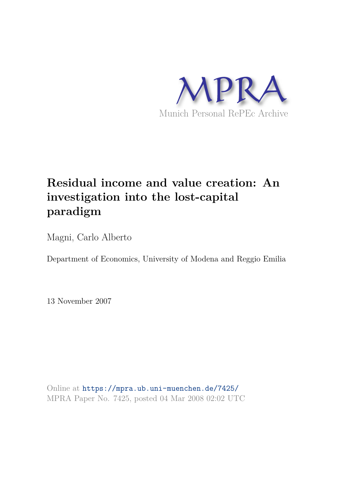

# **Residual income and value creation: An investigation into the lost-capital paradigm**

Magni, Carlo Alberto

Department of Economics, University of Modena and Reggio Emilia

13 November 2007

Online at https://mpra.ub.uni-muenchen.de/7425/ MPRA Paper No. 7425, posted 04 Mar 2008 02:02 UTC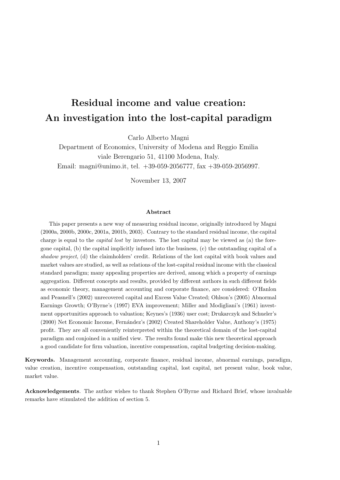# Residual income and value creation: An investigation into the lost-capital paradigm

Carlo Alberto Magni

Department of Economics, University of Modena and Reggio Emilia viale Berengario 51, 41100 Modena, Italy. Email: magni@unimo.it, tel. +39-059-2056777, fax +39-059-2056997.

November 13, 2007

#### Abstract

This paper presents a new way of measuring residual income, originally introduced by Magni (2000a, 2000b, 2000c, 2001a, 2001b, 2003). Contrary to the standard residual income, the capital charge is equal to the capital lost by investors. The lost capital may be viewed as (a) the foregone capital, (b) the capital implicitly infused into the business, (c) the outstanding capital of a shadow project, (d) the claimholders' credit. Relations of the lost capital with book values and market values are studied, as well as relations of the lost-capital residual income with the classical standard paradigm; many appealing properties are derived, among which a property of earnings aggregation. Different concepts and results, provided by different authors in such different fields as economic theory, management accounting and corporate finance, are considered: O'Hanlon and Peasnell's (2002) unrecovered capital and Excess Value Created; Ohlson's (2005) Abnormal Earnings Growth; O'Byrne's (1997) EVA improvement; Miller and Modigliani's (1961) investment opportunities approach to valuation; Keynes's (1936) user cost; Drukarczyk and Schueler's (2000) Net Economic Income, Fern´andez's (2002) Created Shareholder Value, Anthony's (1975) profit. They are all conveniently reinterpreted within the theoretical domain of the lost-capital paradigm and conjoined in a unified view. The results found make this new theoretical approach a good candidate for firm valuation, incentive compensation, capital budgeting decision-making.

Keywords. Management accounting, corporate finance, residual income, abnormal earnings, paradigm, value creation, incentive compensation, outstanding capital, lost capital, net present value, book value, market value.

Acknowledgements. The author wishes to thank Stephen O'Byrne and Richard Brief, whose invaluable remarks have stimulated the addition of section 5.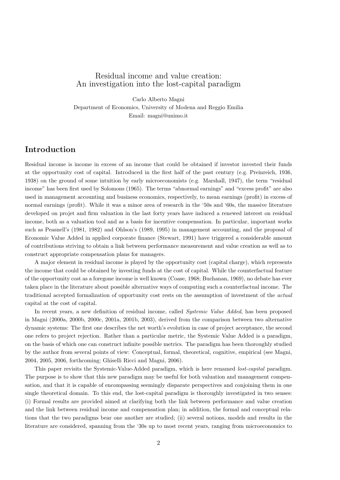### Residual income and value creation: An investigation into the lost-capital paradigm

Carlo Alberto Magni Department of Economics, University of Modena and Reggio Emilia Email: magni@unimo.it

### Introduction

Residual income is income in excess of an income that could be obtained if investor invested their funds at the opportunity cost of capital. Introduced in the first half of the past century (e.g. Preinreich, 1936, 1938) on the ground of some intuition by early microeconomists (e.g. Marshall, 1947), the term "residual income" has been first used by Solomons (1965). The terms "abnormal earnings" and "excess profit" are also used in management accounting and business economics, respectively, to mean earnings (profit) in excess of normal earnings (profit). While it was a minor area of research in the '50s and '60s, the massive literature developed on projet and firm valuation in the last forty years have induced a renewed interest on residual income, both as a valuation tool and as a basis for incentive compensation. In particular, important works such as Peasnell's (1981, 1982) and Ohlson's (1989, 1995) in management accounting, and the proposal of Economic Value Added in applied corporate finance (Stewart, 1991) have triggered a considerable amount of contributions striving to obtain a link between performance measurement and value creation as well as to construct appropriate compensation plans for managers.

A major element in residual income is played by the opportunity cost (capital charge), which represents the income that could be obtained by investing funds at the cost of capital. While the counterfactual feature of the opportunity cost as a foregone income is well known (Coase, 1968; Buchanan, 1969), no debate has ever taken place in the literature about possible alternative ways of computing such a counterfactual income. The traditional accepted formalization of opportunity cost rests on the assumption of investment of the actual capital at the cost of capital.

In recent years, a new definition of residual income, called Systemic Value Added, has been proposed in Magni (2000a, 2000b, 2000c, 2001a, 2001b, 2003), derived from the comparison between two alternative dynamic systems: The first one describes the net worth's evolution in case of project acceptance, the second one refers to project rejection. Rather than a particular metric, the Systemic Value Added is a paradigm, on the basis of which one can construct infinite possible metrics. The paradigm has been thoroughly studied by the author from several points of view: Conceptual, formal, theoretical, cognitive, empirical (see Magni, 2004, 2005, 2006, forthcoming; Ghiselli Ricci and Magni, 2006).

This paper revisits the Systemic-Value-Added paradigm, which is here renamed lost-capital paradigm. The purpose is to show that this new paradigm may be useful for both valuation and management compensation, and that it is capable of encompassing seemingly disparate perspectives and conjoining them in one single theoretical domain. To this end, the lost-capital paradigm is thoroughly investigated in two senses: (i) Formal results are provided aimed at clarifying both the link between performance and value creation and the link between residual income and compensation plan; in addition, the formal and conceptual relations that the two paradigms bear one another are studied; (ii) several notions, models and results in the literature are considered, spanning from the '30s up to most recent years, ranging from microeconomics to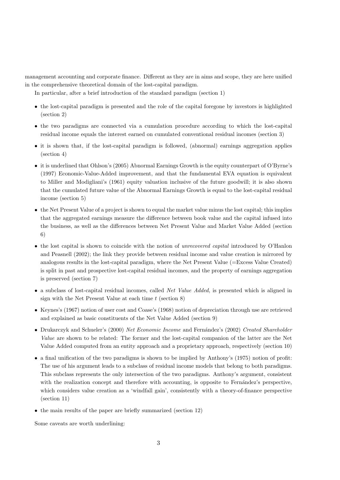management accounting and corporate finance. Different as they are in aims and scope, they are here unified in the comprehensive theoretical domain of the lost-capital paradigm.

In particular, after a brief introduction of the standard paradigm (section 1)

- the lost-capital paradigm is presented and the role of the capital foregone by investors is highlighted (section 2)
- the two paradigms are connected via a cumulation procedure according to which the lost-capital residual income equals the interest earned on cumulated conventional residual incomes (section 3)
- it is shown that, if the lost-capital paradigm is followed, (abnormal) earnings aggregation applies (section 4)
- it is underlined that Ohlson's (2005) Abnormal Earnings Growth is the equity counterpart of O'Byrne's (1997) Economic-Value-Added improvement, and that the fundamental EVA equation is equivalent to Miller and Modigliani's (1961) equity valuation inclusive of the future goodwill; it is also shown that the cumulated future value of the Abnormal Earnings Growth is equal to the lost-capital residual income (section 5)
- the Net Present Value of a project is shown to equal the market value minus the lost capital; this implies that the aggregated earnings measure the difference between book value and the capital infused into the business, as well as the differences between Net Present Value and Market Value Added (section 6)
- the lost capital is shown to coincide with the notion of *unrecovered capital* introduced by O'Hanlon and Peasnell (2002); the link they provide between residual income and value creation is mirrored by analogous results in the lost-capital paradigm, where the Net Present Value (=Excess Value Created) is split in past and prospective lost-capital residual incomes, and the property of earnings aggregation is preserved (section 7)
- a subclass of lost-capital residual incomes, called Net Value Added, is presented which is aligned in sign with the Net Present Value at each time  $t$  (section 8)
- Keynes's (1967) notion of user cost and Coase's (1968) notion of depreciation through use are retrieved and explained as basic constituents of the Net Value Added (section 9)
- Drukarczyk and Schueler's (2000) Net Economic Income and Fernández's (2002) Created Shareholder Value are shown to be related: The former and the lost-capital companion of the latter are the Net Value Added computed from an entity approach and a proprietary approach, respectively (section 10)
- a final unification of the two paradigms is shown to be implied by Anthony's (1975) notion of profit: The use of his argument leads to a subclass of residual income models that belong to both paradigms. This subclass represents the only intersection of the two paradigms. Anthony's argument, consistent with the realization concept and therefore with accounting, is opposite to Fernández's perspective, which considers value creation as a 'windfall gain', consistently with a theory-of-finance perspective (section 11)
- the main results of the paper are briefly summarized (section 12)

Some caveats are worth underlining: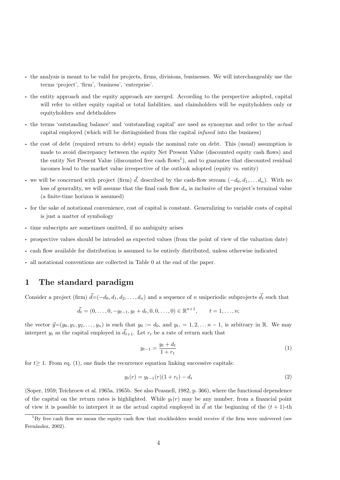- the analysis is meant to be valid for projects, firms, divisions, businesses. We will interchangeably use the terms 'project', 'firm', 'business', 'enterprise'.
- the entity approach and the equity approach are merged. According to the perspective adopted, capital will refer to either equity capital or total liabilities, and claimholders will be equityholders only or equityholders and debtholders
- the terms 'outstanding balance' and 'outstanding capital' are used as synonyms and refer to the actual capital employed (which will be distinguished from the capital infused into the business)
- the cost of debt (required return to debt) equals the nominal rate on debt. This (usual) assumption is made to avoid discrepancy between the equity Net Present Value (discounted equity cash flows) and the entity Net Present Value (discounted free cash flows<sup>1</sup>), and to guarantee that discounted residual incomes lead to the market value irrespective of the outlook adopted (equity vs. entity)
- we will be concerned with project (firm)  $\vec{d}$ , described by the cash-flow stream  $(-d_0, d_1, \ldots, d_n)$ . With no loss of generality, we will assume that the final cash flow  $d_n$  is inclusive of the project's terminal value (a finite-time horizon is assumed)
- for the sake of notational convenience, cost of capital is constant. Generalizing to variable costs of capital is just a matter of symbology
- time subscripts are sometimes omitted, if no ambiguity arises
- prospective values should be intended as expected values (from the point of view of the valuation date)
- cash flow available for distribution is assumed to be entirely distributed, unless otherwise indicated
- all notational conventions are collected in Table 0 at the end of the paper.

### 1 The standard paradigm

Consider a project (firm)  $\vec{d} = (-d_0, d_1, d_2, \ldots, d_n)$  and a sequence of n uniperiodic subprojects  $\vec{d}_t$  such that

$$
\vec{d}_t = (0, \dots, 0, -y_{t-1}, y_t + d_t, 0, 0, \dots, 0) \in \mathbb{R}^{n+1}, \qquad t = 1, \dots, n;
$$

the vector  $\vec{y}=(y_0, y_1, y_2, \ldots, y_n)$  is such that  $y_0 := d_0$ , and  $y_t = 1, 2, \ldots n-1$ , is arbitrary in R. We may interpret  $y_t$  as the capital employed in  $\vec{d}_{t+1}$ . Let  $r_t$  be a rate of return such that

$$
y_{t-1} = \frac{y_t + d_t}{1 + r_t} \tag{1}
$$

for  $t \geq 1$ . From eq. (1), one finds the recurrence equation linking successive capitals:

$$
y_t(r) = y_{t-1}(r)(1+r_t) - d_t \tag{2}
$$

(Soper, 1959; Teichroew et al. 1965a, 1965b. See also Peasnell, 1982, p. 366), where the functional dependence of the capital on the return rates is highlighted. While  $y_t(r)$  may be any number, from a financial point of view it is possible to interpret it as the actual capital employed in  $\tilde{d}$  at the beginning of the  $(t + 1)$ -th

 $1Bv$  free cash flow we mean the equity cash flow that stockholders would receive if the firm were unlevered (see Fernández, 2002).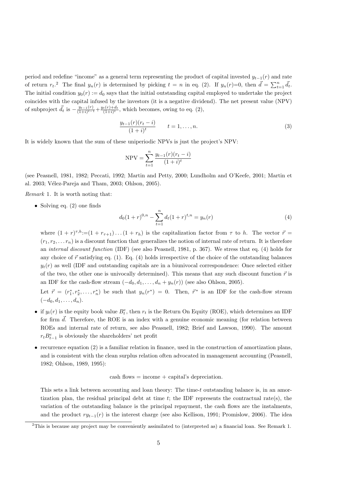period and redefine "income" as a general term representing the product of capital invested  $y_{t-1}(r)$  and rate of return  $r_t$ .<sup>2</sup> The final  $y_n(r)$  is determined by picking  $t = n$  in eq. (2). If  $y_n(r)=0$ , then  $\vec{d} = \sum_{t=1}^n \vec{d}_t$ . The initial condition  $y_0(r) := d_0$  says that the initial outstanding capital employed to undertake the project coincides with the capital infused by the investors (it is a negative dividend). The net present value (NPV) of subproject  $\vec{d}_t$  is  $-\frac{y_{t-1}(r)}{(1+i)^{t-1}}+\frac{y_t(r)+d_t}{(1+i)^{t}}$ , which becomes, owing to eq. (2),

$$
\frac{y_{t-1}(r)(r_t - i)}{(1+i)^t} \qquad t = 1, \dots, n.
$$
\n(3)

It is widely known that the sum of these uniperiodic NPVs is just the project's NPV:

$$
NPV = \sum_{t=1}^{n} \frac{y_{t-1}(r)(r_t - i)}{(1+i)^t}
$$

(see Peasnell, 1981, 1982; Peccati, 1992; Martin and Petty, 2000; Lundholm and O'Keefe, 2001; Martin et al. 2003; Vélez-Pareja and Tham, 2003; Ohlson, 2005).

Remark 1. It is worth noting that:

• Solving eq. (2) one finds

$$
d_0(1+r)^{0,n} - \sum_{t=1}^n d_t(1+r)^{t,n} = y_n(r)
$$
\n(4)

where  $(1 + r)^{\tau, h} := (1 + r_{\tau+1}) \dots (1 + r_h)$  is the capitalization factor from  $\tau$  to h. The vector  $\vec{r} =$  $(r_1, r_2, \ldots r_n)$  is a discount function that generalizes the notion of internal rate of return. It is therefore an internal discount function (IDF) (see also Peasnell, 1981, p. 367). We stress that eq. (4) holds for any choice of  $\vec{r}$  satisfying eq. (1). Eq. (4) holds irrespective of the choice of the outstanding balances  $y_t(r)$  as well (IDF and outstanding capitals are in a biunivocal correspondence: Once selected either of the two, the other one is univocally determined). This means that any such discount function  $\vec{r}$  is an IDF for the cash-flow stream  $(-d_0, d_1, \ldots, d_n + y_n(r))$  (see also Ohlson, 2005).

Let  $\vec{r} = (r_1^*, r_2^*, \ldots, r_n^*)$  be such that  $y_n(r^*) = 0$ . Then,  $\vec{r}^*$  is an IDF for the cash-flow stream  $(-d_0, d_1, \ldots, d_n).$ 

- if  $y_t(r)$  is the equity book value  $B_t^e$ , then  $r_t$  is the Return On Equity (ROE), which determines an IDF for firm  $\vec{d}$ . Therefore, the ROE is an index with a genuine economic meaning (for relation between ROEs and internal rate of return, see also Peasnell, 1982; Brief and Lawson, 1990). The amount  $r_t B_{t-1}^e$  is obviously the shareholders' net profit
- $\bullet$  recurrence equation (2) is a familiar relation in finance, used in the construction of amortization plans, and is consistent with the clean surplus relation often advocated in management accounting (Peasnell, 1982; Ohlson, 1989, 1995):

 $\cosh\,\mathrm{flows} = \mathrm{income} + \mathrm{capital's}\,\mathrm{deprecision}.$ 

This sets a link between accounting and loan theory: The time-t outstanding balance is, in an amortization plan, the residual principal debt at time  $t$ ; the IDF represents the contractual rate(s), the variation of the outstanding balance is the principal repayment, the cash flows are the instalments, and the product  $ry_{t-1}(r)$  is the interest charge (see also Kellison, 1991; Promislow, 2006). The idea

<sup>2</sup>This is because any project may be conveniently assimilated to (interpreted as) a financial loan. See Remark 1.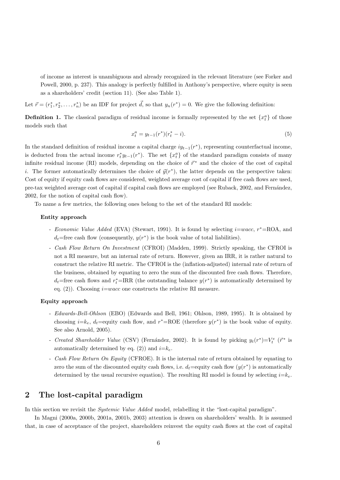of income as interest is unambiguous and already recognized in the relevant literature (see Forker and Powell, 2000, p. 237). This analogy is perfectly fulfilled in Anthony's perspective, where equity is seen as a shareholders' credit (section 11). (See also Table 1).

Let  $\vec{r} = (r_1^*, r_2^*, \dots, r_n^*)$  be an IDF for project  $\vec{d}$ , so that  $y_n(r^*) = 0$ . We give the following definition:

**Definition 1.** The classical paradigm of residual income is formally represented by the set  $\{x_t^a\}$  of those models such that

$$
x_t^a = y_{t-1}(r^*)(r_t^* - i). \tag{5}
$$

In the standard definition of residual income a capital charge  $iy_{t-1}(r^*)$ , representing counterfactual income, is deducted from the actual income  $r_t^* y_{t-1}(r^*)$ . The set  $\{x_t^a\}$  of the standard paradigm consists of many infinite residual income (RI) models, depending on the choice of  $\vec{r}^*$  and the choice of the cost of capital *i*. The former automatically determines the choice of  $\vec{y}(r^*)$ , the latter depends on the perspective taken: Cost of equity if equity cash flows are considered, weighted average cost of capital if free cash flows are used, pre-tax weighted average cost of capital if capital cash flows are employed (see Ruback, 2002, and Fernández, 2002, for the notion of capital cash flow).

To name a few metrics, the following ones belong to the set of the standard RI models:

#### Entity approach

- Economic Value Added (EVA) (Stewart, 1991). It is found by selecting *i*=wacc, r<sup>\*</sup>=ROA, and  $d_t$ =free cash flow (consequently,  $y(r^*)$  is the book value of total liabilities).
- Cash Flow Return On Investment (CFROI) (Madden, 1999). Strictly speaking, the CFROI is not a RI measure, but an internal rate of return. However, given an IRR, it is rather natural to construct the relative RI metric. The CFROI is the (inflation-adjusted) internal rate of return of the business, obtained by equating to zero the sum of the discounted free cash flows. Therefore,  $d_t$ =free cash flows and  $r_t^*$ =IRR (the outstanding balance  $y(r^*)$ ) is automatically determined by eq.  $(2)$ ). Choosing *i=wacc* one constructs the relative RI measure.

#### Equity approach

- Edwards-Bell-Ohlson (EBO) (Edwards and Bell, 1961; Ohlson, 1989, 1995). It is obtained by choosing  $i=k_e$ ,  $d_t$ =equity cash flow, and  $r^*$ =ROE (therefore  $y(r^*)$ ) is the book value of equity. See also Arnold, 2005).
- Created Shareholder Value (CSV) (Fernández, 2002). It is found by picking  $y_t(r^*)=V_t^e$  ( $\vec{r}^*$  is automatically determined by eq. (2)) and  $i=k_e$ .
- Cash Flow Return On Equity (CFROE). It is the internal rate of return obtained by equating to zero the sum of the discounted equity cash flows, i.e.  $d_t =$ equity cash flow  $(y(r^*)$  is automatically determined by the usual recursive equation). The resulting RI model is found by selecting  $i=k_e$ .

### 2 The lost-capital paradigm

In this section we revisit the Systemic Value Added model, relabelling it the "lost-capital paradigm".

In Magni (2000a, 2000b, 2001a, 2001b, 2003) attention is drawn on shareholders' wealth. It is assumed that, in case of acceptance of the project, shareholders reinvest the equity cash flows at the cost of capital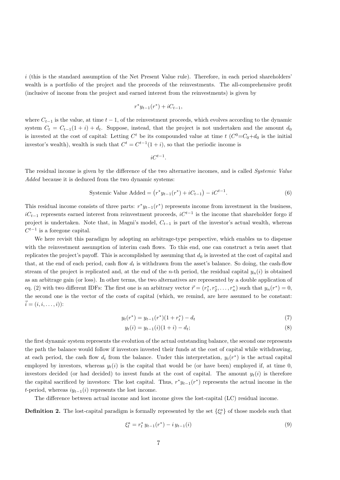$i$  (this is the standard assumption of the Net Present Value rule). Therefore, in each period shareholders' wealth is a portfolio of the project and the proceeds of the reinvestments. The all-comprehensive profit (inclusive of income from the project and earned interest from the reinvestments) is given by

$$
r^*y_{t-1}(r^*) + iC_{t-1},
$$

where  $C_{t-1}$  is the value, at time  $t-1$ , of the reinvestment proceeds, which evolves according to the dynamic system  $C_t = C_{t-1}(1 + i) + d_t$ . Suppose, instead, that the project is not undertaken and the amount  $d_0$ is invested at the cost of capital: Letting  $C<sup>t</sup>$  be its compounded value at time  $t$   $(C<sup>0</sup>=C<sub>0</sub>+d<sub>0</sub>$  is the initial investor's wealth), wealth is such that  $C^t = C^{t-1}(1+i)$ , so that the periodic income is

$$
iC^{t-1}.
$$

The residual income is given by the difference of the two alternative incomes, and is called Systemic Value Added because it is deduced from the two dynamic systems:

$$
Systemic Value Added = (r^*y_{t-1}(r^*) + iC_{t-1}) - iC^{t-1}.
$$
\n(6)

This residual income consists of three parts:  $r^*y_{t-1}(r^*)$  represents income from investment in the business,  $iC_{t-1}$  represents earned interest from reinvestment proceeds,  $iC^{t-1}$  is the income that shareholder forgo if project is undertaken. Note that, in Magni's model,  $C_{t-1}$  is part of the investor's actual wealth, whereas  $C^{t-1}$  is a foregone capital.

We here revisit this paradigm by adopting an arbitrage-type perspective, which enables us to dispense with the reinvestment assumption of interim cash flows. To this end, one can construct a twin asset that replicates the project's payoff. This is accomplished by assuming that  $d_0$  is invested at the cost of capital and that, at the end of each period, cash flow  $d_t$  is withdrawn from the asset's balance. So doing, the cash-flow stream of the project is replicated and, at the end of the n-th period, the residual capital  $y_n(i)$  is obtained as an arbitrage gain (or loss). In other terms, the two alternatives are represented by a double application of eq. (2) with two different IDFs: The first one is an arbitrary vector  $\vec{r} = (r_1^*, r_2^*, \dots, r_n^*)$  such that  $y_n(r^*) = 0$ , the second one is the vector of the costs of capital (which, we remind, are here assumed to be constant:  $\vec{i} = (i, i, \ldots, i))$ :

$$
y_t(r^*) = y_{t-1}(r^*)(1+r_t^*) - d_t \tag{7}
$$

$$
y_t(i) = y_{t-1}(i)(1+i) - d_t;
$$
\n(8)

the first dynamic system represents the evolution of the actual outstanding balance, the second one represents the path the balance would follow if investors invested their funds at the cost of capital while withdrawing, at each period, the cash flow  $d_t$  from the balance. Under this interpretation,  $y_t(r^*)$  is the actual capital employed by investors, whereas  $y_t(i)$  is the capital that would be (or have been) employed if, at time 0, investors decided (or had decided) to invest funds at the cost of capital. The amount  $y_t(i)$  is therefore the capital sacrificed by investors: The lost capital. Thus,  $r^*y_{t-1}(r^*)$  represents the actual income in the t-period, whereas  $iy_{t-1}(i)$  represents the lost income.

The difference between actual income and lost income gives the lost-capital (LC) residual income.

**Definition 2.** The lost-capital paradigm is formally represented by the set  $\{\xi_t^a\}$  of those models such that

$$
\xi_t^a = r_t^* y_{t-1}(r^*) - i y_{t-1}(i) \tag{9}
$$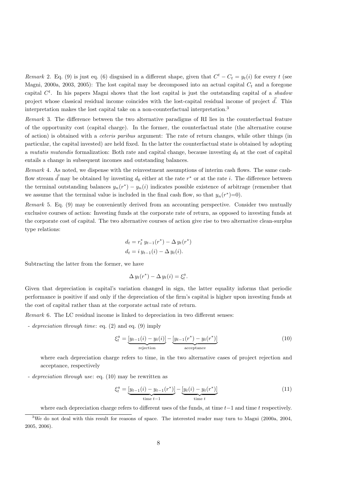Remark 2. Eq. (9) is just eq. (6) disguised in a different shape, given that  $C^t - C_t = y_t(i)$  for every t (see Magni, 2000a, 2003, 2005): The lost capital may be decomposed into an actual capital  $C_t$  and a foregone capital  $C<sup>t</sup>$ . In his papers Magni shows that the lost capital is just the outstanding capital of a shadou project whose classical residual income coincides with the lost-capital residual income of project  $\vec{d}$ . This interpretation makes the lost capital take on a non-counterfactual interpretation.<sup>3</sup>

Remark 3. The difference between the two alternative paradigms of RI lies in the counterfactual feature of the opportunity cost (capital charge). In the former, the counterfactual state (the alternative course of action) is obtained with a ceteris paribus argument: The rate of return changes, while other things (in particular, the capital invested) are held fixed. In the latter the counterfactual state is obtained by adopting a mutatis mutandis formalization: Both rate and capital change, because investing  $d_0$  at the cost of capital entails a change in subsequent incomes and outstanding balances.

Remark 4. As noted, we dispense with the reinvestment assumptions of interim cash flows. The same cashflow stream  $\vec{d}$  may be obtained by investing  $d_0$  either at the rate  $r^*$  or at the rate i. The difference between the terminal outstanding balances  $y_n(r^*) - y_n(i)$  indicates possible existence of arbitrage (remember that we assume that the terminal value is included in the final cash flow, so that  $y_n(r^*)=0$ .

Remark 5. Eq. (9) may be conveniently derived from an accounting perspective. Consider two mutually exclusive courses of action: Investing funds at the corporate rate of return, as opposed to investing funds at the corporate cost of capital. The two alternative courses of action give rise to two alternative clean-surplus type relations:

$$
d_t = r_t^* y_{t-1}(r^*) - \Delta y_t(r^*)
$$
  

$$
d_t = i y_{t-1}(i) - \Delta y_t(i).
$$

Subtracting the latter from the former, we have

$$
\Delta y_t(r^*) - \Delta y_t(i) = \xi_t^a.
$$

Given that depreciation is capital's variation changed in sign, the latter equality informs that periodic performance is positive if and only if the depreciation of the firm's capital is higher upon investing funds at the cost of capital rather than at the corporate actual rate of return.

Remark 6. The LC residual income is linked to depreciation in two different senses:

- *depreciation through time*: eq.  $(2)$  and eq.  $(9)$  imply

$$
\xi_t^a = \underbrace{[y_{t-1}(i) - y_t(i)]}_{\text{rejection}} - \underbrace{[y_{t-1}(r^*) - y_t(r^*)]}_{\text{acceptance}}
$$
\n(10)

where each depreciation charge refers to time, in the two alternative cases of project rejection and acceptance, respectively

- depreciation through use: eq. (10) may be rewritten as

$$
\xi_t^a = \underbrace{[y_{t-1}(i) - y_{t-1}(r^*)]}_{\text{time } t-1} - \underbrace{[y_t(i) - y_t(r^*)]}_{\text{time } t} \tag{11}
$$

where each depreciation charge refers to different uses of the funds, at time  $t-1$  and time t respectively.

 $3$ We do not deal with this result for reasons of space. The interested reader may turn to Magni (2000a, 2004, 2005, 2006).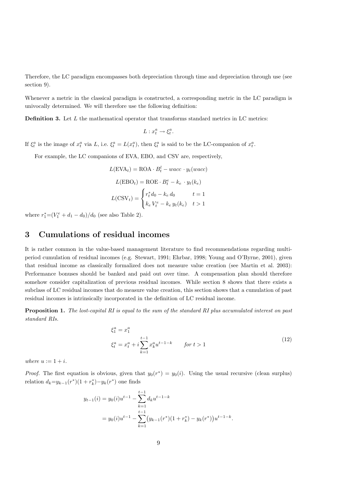Therefore, the LC paradigm encompasses both depreciation through time and depreciation through use (see section 9).

Whenever a metric in the classical paradigm is constructed, a corresponding metric in the LC paradigm is univocally determined. We will therefore use the following definition:

**Definition 3.** Let  $L$  the mathematical operator that transforms standard metrics in LC metrics:

$$
L: x_t^a \to \xi_t^a.
$$

If  $\xi_t^a$  is the image of  $x_t^a$  via L, i.e.  $\xi_t^a = L(x_t^a)$ , then  $\xi_t^a$  is said to be the LC-companion of  $x_t^a$ .

For example, the LC companions of EVA, EBO, and CSV are, respectively,

$$
L(\text{EVA}_t) = \text{ROA} \cdot B_t^l - wacc \cdot y_t(wacc)
$$

$$
L(\text{EBO}_t) = \text{ROE} \cdot B_t^e - k_e \cdot y_t(k_e)
$$

$$
L(\text{CSV}_t) = \begin{cases} r_t^* d_0 - k_e d_0 & t = 1\\ k_e V_t^e - k_e y_t(k_e) & t > 1 \end{cases}
$$

where  $r_1^* = (V_1^e + d_1 - d_0)/d_0$  (see also Table 2).

### 3 Cumulations of residual incomes

It is rather common in the value-based management literature to find recommendations regarding multiperiod cumulation of residual incomes (e.g. Stewart, 1991; Ehrbar, 1998; Young and O'Byrne, 2001), given that residual income as classically formalized does not measure value creation (see Martin et al. 2003): Performance bonuses should be banked and paid out over time. A compensation plan should therefore somehow consider capitalization of previous residual incomes. While section 8 shows that there exists a subclass of LC residual incomes that do measure value creation, this section shows that a cumulation of past residual incomes is intrinsically incorporated in the definition of LC residual income.

**Proposition 1.** The lost-capital RI is equal to the sum of the standard RI plus accumulated interest on past standard RIs.

$$
\xi_1^a = x_1^a
$$
  
\n
$$
\xi_t^a = x_t^a + i \sum_{k=1}^{t-1} x_k^a u^{t-1-k} \qquad \text{for } t > 1
$$
\n(12)

where  $u := 1 + i$ .

*Proof.* The first equation is obvious, given that  $y_0(r^*) = y_0(i)$ . Using the usual recursive (clean surplus) relation  $d_k = y_{k-1}(r^*)(1 + r_k^*) - y_k(r^*)$  one finds

$$
y_{t-1}(i) = y_0(i)u^{t-1} - \sum_{k=1}^{t-1} d_k u^{t-1-k}
$$
  
=  $y_0(i)u^{t-1} - \sum_{k=1}^{t-1} (y_{k-1}(r^*)(1+r_k^*) - y_k(r^*))u^{t-1-k}.$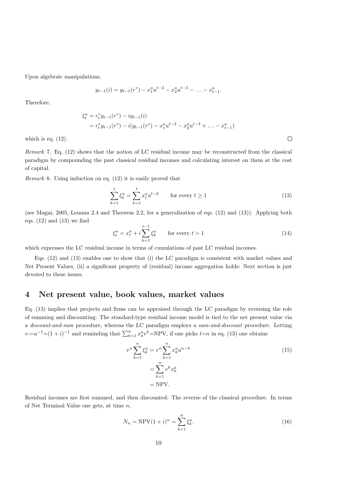Upon algebraic manipulations,

$$
y_{t-1}(i) = y_{t-1}(r^*) - x_1^a u^{t-2} - x_2^a u^{t-3} - \ldots - x_{t-1}^a.
$$

Therefore,

$$
\xi_t^a = r_t^* y_{t-1}(r^*) - iy_{t-1}(i)
$$
  
=  $r_t^* y_{t-1}(r^*) - i(y_{t-1}(r^*) - x_1^a u^{t-2} - x_2^a u^{t-3} + \dots - x_{t-1}^a)$ 

which is eq.  $(12)$ .

Remark 7. Eq. (12) shows that the notion of LC residual income may be reconstructed from the classical paradigm by compounding the past classical residual incomes and calculating interest on them at the cost of capital.

Remark 8. Using induction on eq. (12) it is easily proved that

$$
\sum_{k=1}^{t} \xi_k^a = \sum_{k=1}^{t} x_t^a u^{t-k} \qquad \text{for every } t \ge 1
$$
\n
$$
(13)
$$

 $\Box$ 

(see Magni, 2005, Lemma 2.4 and Theorem 2.2, for a generalization of eqs. (12) and (13)). Applying both eqs.  $(12)$  and  $(13)$  we find

$$
\xi_t^a = x_t^a + i \sum_{k=1}^{t-1} \xi_k^a \qquad \text{for every } t > 1 \tag{14}
$$

which expresses the LC residual income in terms of cumulations of past LC residual incomes.

Eqs. (12) and (13) enables one to show that (i) the LC paradigm is consistent with market values and Net Present Values, (ii) a significant property of (residual) income aggregation holds: Next section is just devoted to these issues.

### 4 Net present value, book values, market values

Eq. (13) implies that projects and firms can be appraised through the LC paradigm by reversing the role of summing and discounting: The standard-type residual income model is tied to the net present value via a discount-and-sum procedure, whereas the LC paradigm employs a sum-and-discount procedure. Letting  $v:=u^{-1}=(1+i)^{-1}$  and reminding that  $\sum_{k=1}^{n} x_k^a v^k = NPV$ , if one picks  $t=n$  in eq. (13) one obtains

$$
v^n \sum_{k=1}^n \xi_k^a = v^n \sum_{k=1}^n x_k^a u^{n-k}
$$
  
= 
$$
\sum_{k=1}^n v^k x_k^a
$$
  
= NPV. (15)

Residual incomes are first summed, and then discounted: The reverse of the classical procedure. In terms of Net Terminal Value one gets, at time n,

$$
N_n = \text{NPV}(1+i)^n = \sum_{k=1}^n \xi_k^a.
$$
 (16)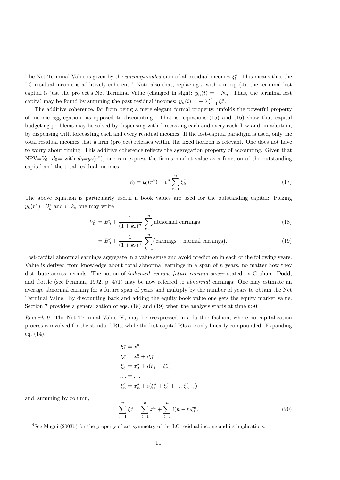The Net Terminal Value is given by the *uncompounded* sum of all residual incomes  $\xi_t^a$ . This means that the LC residual income is additively coherent.<sup>4</sup> Note also that, replacing r with i in eq. (4), the terminal lost capital is just the project's Net Terminal Value (changed in sign):  $y_n(i) = -N_n$ . Thus, the terminal lost capital may be found by summing the past residual incomes:  $y_n(i) = -\sum_{t=1}^n \xi_t^a$ .

The additive coherence, far from being a mere elegant formal property, unfolds the powerful property of income aggregation, as opposed to discounting. That is, equations (15) and (16) show that capital budgeting problems may be solved by dispensing with forecasting each and every cash flow and, in addition, by dispensing with forecasting each and every residual incomes. If the lost-capital paradigm is used, only the total residual incomes that a firm (project) releases within the fixed horizon is relevant. One does not have to worry about timing. This additive coherence reflects the aggregation property of accounting. Given that  $NPV=V_0-d_0=$  with  $d_0=y_0(r^*)$ , one can express the firm's market value as a function of the outstanding capital and the total residual incomes:

$$
V_0 = y_0(r^*) + v^n \sum_{k=1}^n \xi_k^a.
$$
 (17)

The above equation is particularly useful if book values are used for the outstanding capital: Picking  $y_k(r^*) = B_k^e$  and  $i=k_e$  one may write

$$
V_0^e = B_0^e + \frac{1}{(1+k_e)^n} \sum_{k=1}^n \text{abnormal earnings}
$$
 (18)

$$
=B_0^e + \frac{1}{(1+k_e)^n} \sum_{k=1}^n \text{(earnings – normal earnings)}.
$$
\n(19)

Lost-capital abnormal earnings aggregate in a value sense and avoid prediction in each of the following years. Value is derived from knowledge about total abnormal earnings in a span of  $n$  years, no matter how they distribute across periods. The notion of *indicated average future earning power* stated by Graham, Dodd, and Cottle (see Penman, 1992, p. 471) may be now referred to abnormal earnings: One may estimate an average abnormal earning for a future span of years and multiply by the number of years to obtain the Net Terminal Value. By discounting back and adding the equity book value one gets the equity market value. Section 7 provides a generalization of eqs. (18) and (19) when the analysis starts at time  $t>0$ .

Remark 9. The Net Terminal Value  $N_n$  may be reexpressed in a further fashion, where no capitalization process is involved for the standard RIs, while the lost-capital RIs are only linearly compounded. Expanding eq. (14),

$$
\xi_1^a = x_1^a
$$
  
\n
$$
\xi_2^a = x_2^a + i\xi_1^a
$$
  
\n
$$
\xi_3^a = x_3^a + i(\xi_1^a + \xi_2^a)
$$
  
\n... = ...  
\n
$$
\xi_n^a = x_n^a + i(\xi_1^a + \xi_2^a + ... \xi_{n-1}^a)
$$

and, summing by column,

$$
\sum_{t=1}^{n} \xi_t^a = \sum_{t=1}^{n} x_t^a + \sum_{t=1}^{n} i(n-t) \xi_t^a.
$$
\n(20)

<sup>&</sup>lt;sup>4</sup>See Magni (2003b) for the property of antisymmetry of the LC residual income and its implications.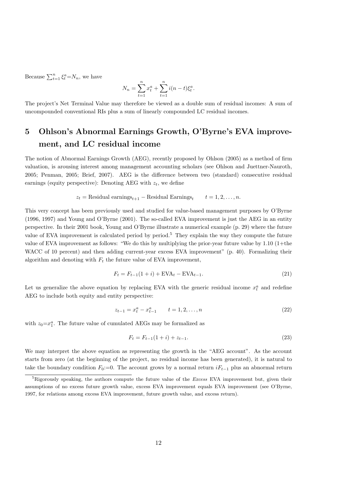Because  $\sum_{t=1}^{n} \xi_t^a = N_n$ , we have

$$
N_n = \sum_{t=1}^{n} x_t^a + \sum_{t=1}^{n} i(n-t) \xi_t^a
$$

.

The project's Net Terminal Value may therefore be viewed as a double sum of residual incomes: A sum of uncompounded conventional RIs plus a sum of linearly compounded LC residual incomes.

# 5 Ohlson's Abnormal Earnings Growth, O'Byrne's EVA improvement, and LC residual income

The notion of Abnormal Earnings Growth (AEG), recently proposed by Ohlson (2005) as a method of firm valuation, is arousing interest among management accounting scholars (see Ohlson and Juettner-Nauroth, 2005; Penman, 2005; Brief, 2007). AEG is the difference between two (standard) consecutive residual earnings (equity perspective): Denoting AEG with  $z_t$ , we define

> $z_t$  = Residual earnings<sub>t+1</sub> – Residual Earnings<sub>t</sub>  $t = 1, 2, \ldots, n$ .

This very concept has been previously used and studied for value-based management purposes by O'Byrne (1996, 1997) and Young and O'Byrne (2001). The so-called EVA improvement is just the AEG in an entity perspective. In their 2001 book, Young and O'Byrne illustrate a numerical example (p. 29) where the future value of EVA improvement is calculated period by period.<sup>5</sup> They explain the way they compute the future value of EVA improvement as follows: "We do this by multiplying the prior-year future value by 1.10 (1+the WACC of 10 percent) and then adding current-year excess EVA improvement" (p. 40). Formalizing their algorithm and denoting with  $F_t$  the future value of EVA improvement,

$$
F_t = F_{t-1}(1+i) + \text{EVA}_t - \text{EVA}_{t-1}.
$$
\n(21)

Let us generalize the above equation by replacing EVA with the generic residual income  $x_t^a$  and redefine AEG to include both equity and entity perspective:

$$
z_{t-1} = x_t^a - x_{t-1}^a \qquad t = 1, 2, \dots, n
$$
\n<sup>(22)</sup>

with  $z_0 = x_1^a$ . The future value of cumulated AEGs may be formalized as

$$
F_t = F_{t-1}(1+i) + z_{t-1}.
$$
\n(23)

We may interpret the above equation as representing the growth in the "AEG account". As the account starts from zero (at the beginning of the project, no residual income has been generated), it is natural to take the boundary condition  $F_0:=0$ . The account grows by a normal return  $iF_{t-1}$  plus an abnormal return

 ${}^{5}$ Rigorously speaking, the authors compute the future value of the *Excess* EVA improvement but, given their assumptions of no excess future growth value, excess EVA improvement equals EVA improvement (see O'Byrne, 1997, for relations among excess EVA improvement, future growth value, and excess return).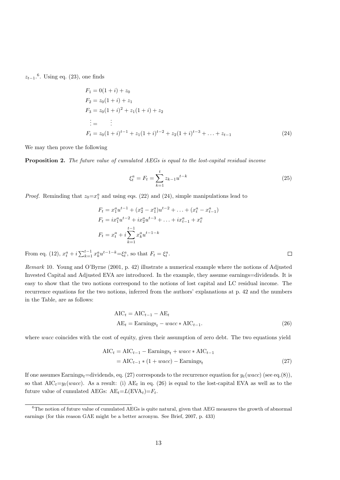$z_{t-1}.^6$ . Using eq. (23), one finds

$$
F_1 = 0(1 + i) + z_0
$$
  
\n
$$
F_2 = z_0(1 + i) + z_1
$$
  
\n
$$
F_3 = z_0(1 + i)^2 + z_1(1 + i) + z_2
$$
  
\n
$$
\vdots = \qquad \vdots
$$
  
\n
$$
F_t = z_0(1 + i)^{t-1} + z_1(1 + i)^{t-2} + z_2(1 + i)^{t-3} + \dots + z_{t-1}
$$
\n(24)

We may then prove the following

Proposition 2. The future value of cumulated AEGs is equal to the lost-capital residual income

$$
\xi_t^a = F_t = \sum_{k=1}^t z_{k-1} u^{t-k}
$$
\n(25)

*Proof.* Reminding that  $z_0 = x_1^a$  and using eqs. (22) and (24), simple manipulations lead to

$$
F_t = x_1^a u^{t-1} + (x_2^a - x_1^a) u^{t-2} + \dots + (x_t^a - x_{t-1}^a)
$$
  
\n
$$
F_t = ix_1^a u^{t-2} + ix_2^a u^{t-3} + \dots + ix_{t-1}^a + x_t^a
$$
  
\n
$$
F_t = x_t^a + i \sum_{k=1}^{t-1} x_k^a u^{t-1-k}
$$

From eq. (12),  $x_t^a + i \sum_{k=1}^{t-1} x_k^a u^{t-1-k} = \xi_t^a$ , so that  $F_t = \xi_t^a$ .

Remark 10. Young and O'Byrne (2001, p. 42) illustrate a numerical example where the notions of Adjusted Invested Capital and Adjusted EVA are introduced. In the example, they assume earnings=dividends. It is easy to show that the two notions correspond to the notions of lost capital and LC residual income. The recurrence equations for the two notions, inferred from the authors' explanations at p. 42 and the numbers in the Table, are as follows:

$$
AIC_t = AIC_{t-1} - AE_t
$$
  
 
$$
AE_t = Earnings_t - wacc * AIC_{t-1}.
$$
 (26)

where wacc coincides with the cost of equity, given their assumption of zero debt. The two equations yield

$$
AIC_t = AIC_{t-1} - Earning_s_t + wacc * AIC_{t-1}
$$
  
= AIC\_{t-1} \* (1 + wacc) - Earning\_s\_t (27)

If one assumes Earnings<sub>t</sub>=dividends, eq. (27) corresponds to the recurrence equation for  $y_t(wacc)$  (see eq.(8)), so that  $AIC_t=y_t(wacc)$ . As a result: (i)  $AE_t$  in eq. (26) is equal to the lost-capital EVA as well as to the future value of cumulated AEGs:  $AE_t = L(EVA_t) = F_t$ .

<sup>&</sup>lt;sup>6</sup>The notion of future value of cumulated AEGs is quite natural, given that AEG measures the growth of abnormal earnings (for this reason GAE might be a better acronym. See Brief, 2007, p. 433)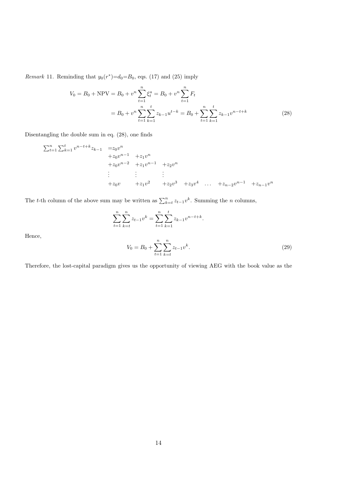*Remark* 11. Reminding that  $y_0(r^*)=d_0=B_0$ , eqs. (17) and (25) imply

$$
V_0 = B_0 + \text{NPV} = B_0 + v^n \sum_{t=1}^n \xi_t^a = B_0 + v^n \sum_{t=1}^n F_t
$$
  
=  $B_0 + v^n \sum_{t=1}^n \sum_{k=1}^t z_{k-1} u^{t-k} = B_0 + \sum_{t=1}^n \sum_{k=1}^t z_{k-1} v^{n-t+k}$  (28)

Disentangling the double sum in eq. (28), one finds

$$
\sum_{t=1}^{n} \sum_{k=1}^{t} v^{n-t+k} z_{k-1} = z_0 v^n
$$
  
+ z\_0 v^{n-1} + z\_1 v^n  
+ z\_0 v^{n-2} + z\_1 v^{n-1} + z\_2 v^n  
\n:  
+ z\_0 v + z\_1 v^2 + z\_2 v^3 + z\_3 v^4 ... + z\_{n-2} v^{n-1} + z\_{n-1} v^n

The t-th column of the above sum may be written as  $\sum_{k=t}^{n} z_{t-1}v^k$ . Summing the *n* columns,

$$
\sum_{t=1}^{n} \sum_{k=t}^{n} z_{t-1} v^{k} = \sum_{t=1}^{n} \sum_{k=1}^{t} z_{k-1} v^{n-t+k}
$$

Hence,

$$
V_0 = B_0 + \sum_{t=1}^{n} \sum_{k=t}^{n} z_{t-1} v^k.
$$
\n(29)

.

Therefore, the lost-capital paradigm gives us the opportunity of viewing AEG with the book value as the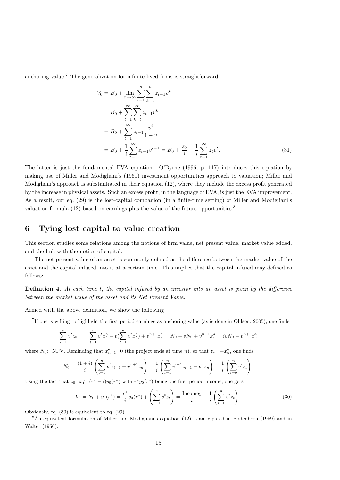anchoring value.<sup>7</sup> The generalization for infinite-lived firms is straightforward:

$$
V_0 = B_0 + \lim_{n \to \infty} \sum_{t=1}^n \sum_{k=t}^n z_{t-1} v^k
$$
  
=  $B_0 + \sum_{t=1}^{\infty} \sum_{k=t}^{\infty} z_{t-1} v^k$   
=  $B_0 + \sum_{t=1}^{\infty} z_{t-1} \frac{v^t}{1-v}$   
=  $B_0 + \frac{1}{i} \sum_{t=1}^{\infty} z_{t-1} v^{t-1} = B_0 + \frac{z_0}{i} + \frac{1}{i} \sum_{t=1}^{\infty} z_t v^t.$  (31)

The latter is just the fundamental EVA equation. O'Byrne (1996, p. 117) introduces this equation by making use of Miller and Modigliani's (1961) investment opportunities approach to valuation; Miller and Modigliani's approach is substantiated in their equation (12), where they include the excess profit generated by the increase in physical assets. Such an excess profit, in the language of EVA, is just the EVA improvement. As a result, our eq. (29) is the lost-capital companion (in a finite-time setting) of Miller and Modigliani's valuation formula  $(12)$  based on earnings plus the value of the future opportunities.<sup>8</sup>

### 6 Tying lost capital to value creation

This section studies some relations among the notions of firm value, net present value, market value added, and the link with the notion of capital.

The net present value of an asset is commonly defined as the difference between the market value of the asset and the capital infused into it at a certain time. This implies that the capital infused may defined as follows:

**Definition 4.** At each time t, the capital infused by an investor into an asset is given by the difference between the market value of the asset and its Net Present Value.

Armed with the above definition, we show the following

7 If one is willing to highlight the first-period earnings as anchoring value (as is done in Ohlson, 2005), one finds

$$
\sum_{t=1}^{n} v^{t} z_{t-1} = \sum_{t=1}^{n} v^{t} x_{t}^{a} - v \left( \sum_{t=1}^{n} v^{t} x_{t}^{a} \right) + v^{n+1} x_{n}^{a} = N_{0} - v N_{0} + v^{n+1} x_{n}^{a} = iv N_{0} + v^{n+1} x_{n}^{a}
$$

where N<sub>0</sub>:=NPV. Reminding that  $x_{n+1}^a = 0$  (the project ends at time n), so that  $z_n = -x_n^a$ , one finds

$$
N_0 = \frac{(1+i)}{i} \left( \sum_{t=1}^n v^t z_{t-1} + v^{n+1} z_n \right) = \frac{1}{i} \left( \sum_{t=1}^n v^{t-1} z_{t-1} + v^n z_n \right) = \frac{1}{i} \left( \sum_{t=0}^n v^t z_t \right).
$$

Using the fact that  $z_0 = x_1^a = (r^* - i)y_0(r^*)$  with  $r^*y_0(r^*)$  being the first-period income, one gets

$$
V_0 = N_0 + y_0(r^*) = \frac{r^*}{i}y_0(r^*) + \left(\sum_{t=1}^n v^t z_t\right) = \frac{\text{Income}_1}{i} + \frac{1}{i}\left(\sum_{t=1}^n v^t z_t\right). \tag{30}
$$

Obviously, eq. (30) is equivalent to eq. (29).

<sup>8</sup>An equivalent formulation of Miller and Modigliani's equation (12) is anticipated in Bodenhorn (1959) and in Walter (1956).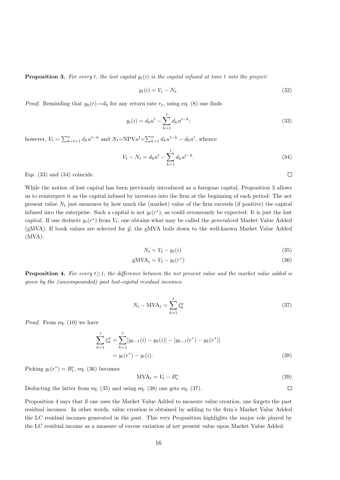**Proposition 3.** For every t, the lost capital  $y_t(i)$  is the capital infused at time t into the project:

$$
y_t(i) = V_t - N_t. \tag{32}
$$

*Proof.* Reminding that  $y_0(r) := d_0$  for any return rate  $r_t$ , using eq. (8) one finds

$$
y_t(i) = d_0 u^t - \sum_{k=1}^t d_k u^{t-k};
$$
\n(33)

however,  $V_t = \sum_{k=t+1}^{n} d_k u^{t-k}$  and  $N_t = NPV u^t = \sum_{k=1}^{n} d_k u^{t-k} - d_0 u^t$ , whence

$$
V_t - N_t = d_0 u^t - \sum_{k=1}^t d_k u^{t-k}.
$$
\n(34)

 $\Box$ 

 $\Box$ 

Eqs. (33) and (34) coincide.

While the notion of lost capital has been previously introduced as a foregone capital, Proposition 3 allows us to reinterpret it as the capital infused by investors into the firm at the beginning of each period: The net present value  $N_t$  just measures by how much the (market) value of the firm exceeds (if positive) the capital infused into the enterprise. Such a capital is not  $y_t(r^*)$ , as could erroneously be expected: It is just the lost capital. If one deducts  $y_t(r^*)$  from  $V_t$ , one obtains what may be called the *generalized* Market Value Added (gMVA). If book values are selected for  $\vec{y}$ , the gMVA boils down to the well-known Market Value Added (MVA).

$$
N_t = V_t - y_t(i) \tag{35}
$$

$$
gMVA_t = V_t - y_t(r^*)
$$
\n(36)

**Proposition 4.** For every  $t>1$ , the difference between the net present value and the market value added is given by the (uncompounded) past lost-capital residual incomes:

$$
N_t - \text{MVA}_t = \sum_{k=1}^t \xi_k^a \tag{37}
$$

Proof. From eq. (10) we have

$$
\sum_{k=1}^{t} \xi_k^a = \sum_{k=1}^{t} [y_{k-1}(i) - y_k(i)] - [y_{k-1}(r^*) - y_k(r^*)]
$$
  
=  $y_t(r^*) - y_t(i)$ . (38)

Picking  $y_t(r^*) = B_t^e$ , eq. (36) becomes

$$
MVA_t = V_t - B_t^e. \tag{39}
$$

Deducting the latter from eq. (35) and using eq. (38) one gets eq. (37).

Proposition 4 says that if one uses the Market Value Added to measure value creation, one forgets the past residual incomes. In other words, value creation is obtained by adding to the firm's Market Value Added the LC residual incomes generated in the past. This very Proposition highlights the major role played by the LC residual income as a measure of excess variation of net present value upon Market Value Added.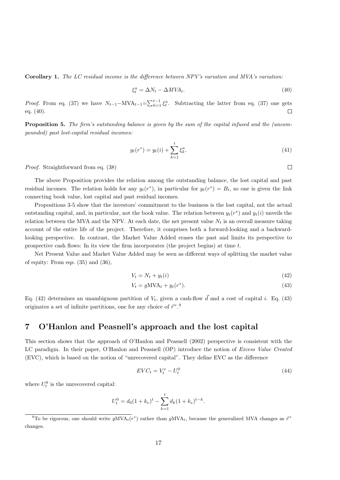Corollary 1. The LC residual income is the difference between NPV's variation and MVA's variation:

$$
\xi_t^a = \Delta N_t - \Delta M V A_t. \tag{40}
$$

*Proof.* From eq. (37) we have  $N_{t-1}-MVA_{t-1} = \sum_{k=1}^{t-1} \xi_k^a$ . Subtracting the latter from eq. (37) one gets eq. (40).  $\Box$ 

**Proposition 5.** The firm's outstanding balance is given by the sum of the capital infused and the (uncompounded) past lost-capital residual incomes:

$$
y_t(r^*) = y_t(i) + \sum_{k=1}^t \xi_k^a.
$$
 (41)

Proof. Straightforward from eq. (38)

The above Proposition provides the relation among the outstanding balance, the lost capital and past residual incomes. The relation holds for any  $y_t(r^*)$ , in particular for  $y_t(r^*) = B_t$ , so one is given the link connecting book value, lost capital and past residual incomes.

Propositions 3-5 show that the investors' commitment to the business is the lost capital, not the actual outstanding capital, and, in particular, not the book value. The relation between  $y_t(r^*)$  and  $y_t(i)$  unveils the relation between the MVA and the NPV. At each date, the net present value  $N_t$  is an overall measure taking account of the entire life of the project. Therefore, it comprises both a forward-looking and a backwardlooking perspective. In contrast, the Market Value Added erases the past and limits its perspective to prospective cash flows: In its view the firm incorporates (the project begins) at time  $t$ .

Net Present Value and Market Value Added may be seen as different ways of splitting the market value of equity: From eqs. (35) and (36),

$$
V_t = N_t + y_t(i) \tag{42}
$$

$$
V_t = gMVA_t + y_t(r^*). \tag{43}
$$

Eq. (42) determines an unambiguous partition of  $V_t$ , given a cash-flow  $\vec{d}$  and a cost of capital i. Eq. (43) originates a set of infinite partitions, one for any choice of  $\vec{r}^*$ .<sup>9</sup>

### 7 O'Hanlon and Peasnell's approach and the lost capital

This section shows that the approach of O'Hanlon and Peasnell (2002) perspective is consistent with the LC paradigm. In their paper, O'Hanlon and Peasnell (OP) introduce the notion of Excess Value Created (EVC), which is based on the notion of "unrecovered capital". They define EVC as the difference

$$
EVC_t = V_t^e - U_t^0 \tag{44}
$$

where  $U_t^0$  is the unrecovered capital:

$$
U_t^0 = d_0 (1 + k_e)^t - \sum_{k=1}^t d_k (1 + k_e)^{t-k}.
$$

<sup>&</sup>lt;sup>9</sup>To be rigorous, one should write  $gMVA_t(r^*)$  rather than  $gMVA_t$ , because the generalized MVA changes as  $\vec{r}^*$ changes.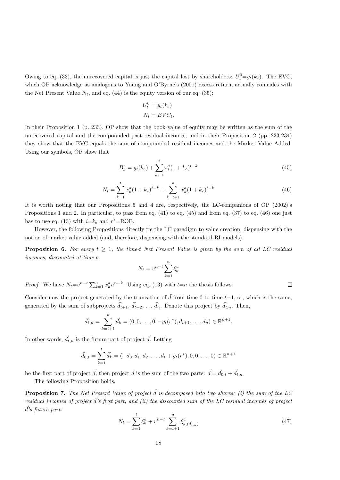Owing to eq. (33), the unrecovered capital is just the capital lost by shareholders:  $U_t^0 = y_t(k_e)$ . The EVC, which OP acknowledge as analogous to Young and O'Byrne's (2001) excess return, actually coincides with the Net Present Value  $N_t$ , and eq. (44) is the equity version of our eq. (35):

$$
U_t^0 = y_t(k_e)
$$
  

$$
N_t = EVC_t.
$$

In their Proposition 1 (p. 233), OP show that the book value of equity may be written as the sum of the unrecovered capital and the compounded past residual incomes, and in their Proposition 2 (pp. 233-234) they show that the EVC equals the sum of compounded residual incomes and the Market Value Added. Using our symbols, OP show that

$$
B_t^e = y_t(k_e) + \sum_{k=1}^t x_t^a (1 + k_e)^{t-k}
$$
\n(45)

$$
N_t = \sum_{k=1}^t x_k^a (1 + k_e)^{t-k} + \sum_{k=t+1}^n x_k^a (1 + k_e)^{t-k}
$$
 (46)

It is worth noting that our Propositions 5 and 4 are, respectively, the LC-companions of OP (2002)'s Propositions 1 and 2. In particular, to pass from eq. (41) to eq. (45) and from eq. (37) to eq. (46) one just has to use eq. (13) with  $i=k_e$  and  $r^*$ =ROE.

However, the following Propositions directly tie the LC paradigm to value creation, dispensing with the notion of market value added (and, therefore, dispensing with the standard RI models).

**Proposition 6.** For every  $t > 1$ , the time-t Net Present Value is given by the sum of all LC residual incomes, discounted at time t:

$$
N_t = v^{n-t} \sum_{k=1}^n \xi_k^a
$$

*Proof.* We have  $N_t = v^{n-t} \sum_{k=1}^n x_k^a u^{n-k}$ . Using eq. (13) with  $t=n$  the thesis follows.

Consider now the project generated by the truncation of  $\vec{d}$  from time 0 to time t−1, or, which is the same, generated by the sum of subprojects  $\vec{d}_{t+1}$ ,  $\vec{d}_{t+2}$ , ...  $\vec{d}_n$ . Denote this project by  $\vec{d}_{t,n}$ . Then,

$$
\vec{d}_{t,n} = \sum_{k=t+1}^{n} \vec{d}_k = (0,0,\ldots,0,-y_t(r^*),d_{t+1},\ldots,d_n) \in \mathbb{R}^{n+1}.
$$

In other words,  $\vec{d}_{t,n}$  is the future part of project  $\vec{d}$ . Letting

$$
\vec{d}_{0,t} = \sum_{k=1}^t \vec{d}_k = (-d_0, d_1, d_2, \dots, d_t + y_t(r^*), 0, 0, \dots, 0) \in \mathbb{R}^{n+1}
$$

be the first part of project  $\vec{d}$ , then project  $\vec{d}$  is the sum of the two parts:  $\vec{d} = \vec{d}_{0,t} + \vec{d}_{t,n}$ .

The following Proposition holds.

**Proposition 7.** The Net Present Value of project  $\vec{d}$  is decomposed into two shares: (i) the sum of the LC residual incomes of project  $\vec{d}$ 's first part, and (ii) the discounted sum of the LC residual incomes of project  $\vec{d}$ 's future part:

$$
N_t = \sum_{k=1}^t \xi_k^a + v^{n-t} \sum_{k=t+1}^n \xi_{k,(\vec{d}_{t,n})}^a \tag{47}
$$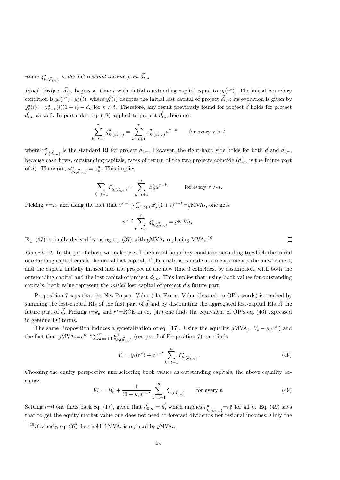where  $\xi_{k,(\vec{d}_{t,n})}^a$  is the LC residual income from  $\vec{d}_{t,n}$ .

*Proof.* Project  $\vec{d}_{t,n}$  begins at time t with initial outstanding capital equal to  $y_t(r^*)$ . The initial boundary condition is  $y_t(r^*)=y_t^{\circ}(i)$ , where  $y_t^{\circ}(i)$  denotes the initial lost capital of project  $\vec{d}_{t,n}$ ; its evolution is given by  $y_k^{\circ}(i) = y_{k-1}^{\circ}(i)(1+i) - d_k$  for  $k > t$ . Therefore, any result previously found for project  $\vec{d}$  holds for project  $\vec{d}_{t,n}$  as well. In particular, eq. (13) applied to project  $\vec{d}_{t,n}$  becomes

$$
\sum_{k=t+1}^{\tau} \xi_{k,(\vec{d}_{t,n})}^a = \sum_{k=t+1}^{\tau} x_{k,(\vec{d}_{t,n})}^a u^{\tau-k} \qquad \text{for every } \tau > t
$$

where  $x_{k,(\vec{d}_{t,n})}^a$  is the standard RI for project  $\vec{d}_{t,n}$ . However, the right-hand side holds for both  $\vec{d}$  and  $\vec{d}_{t,n}$ , because cash flows, outstanding capitals, rates of return of the two projects coincide  $(\vec{d}_{t,n})$  is the future part of  $\vec{d}$ ). Therefore,  $x_{k,(\vec{d}_{t,n})}^a = x_k^a$ . This implies

$$
\sum_{k=t+1}^{\tau} \xi_{k,(\vec{d}_{t,n})}^a = \sum_{k=t+1}^{\tau} x_k^a u^{\tau-k} \qquad \text{for every } \tau > t.
$$

Picking  $\tau = n$ , and using the fact that  $v^{n-t} \sum_{k=t+1}^{n} x_k^a (1+i)^{n-k} = gMVA_t$ , one gets

$$
v^{n-t} \sum_{k=t+1}^{n} \xi_{k,(\vec{d}_{t,n})}^a = gMVA_t.
$$

Eq. (47) is finally derived by using eq. (37) with  $gMVA_t$  replacing  $MVA_t$ .<sup>10</sup>

Remark 12. In the proof above we make use of the initial boundary condition according to which the initial outstanding capital equals the initial lost capital. If the analysis is made at time t, time t is the 'new' time  $0$ , and the capital initially infused into the project at the new time 0 coincides, by assumption, with both the outstanding capital and the lost capital of project  $\vec{d}_{t,n}$ . This implies that, using book values for outstanding capitals, book value represent the *initial* lost capital of project  $\vec{d}$ 's future part.

Proposition 7 says that the Net Present Value (the Excess Value Created, in OP's words) is reached by summing the lost-capital RIs of the first part of  $\vec{d}$  and by discounting the aggregated lost-capital RIs of the future part of  $\vec{d}$ . Picking  $i=k_e$  and  $r^*$ =ROE in eq. (47) one finds the equivalent of OP's eq. (46) expressed in genuine LC terms.

The same Proposition induces a generalization of eq. (17). Using the equality  $gMVA_t = V_t - y_t(r^*)$  and the fact that  $gMVA_t = v^{n-t} \sum_{k=t+1}^n \xi_{k,(\vec{d}_{t,n})}^a$  (see proof of Proposition 7), one finds

$$
V_t = y_t(r^*) + v^{n-t} \sum_{k=t+1}^n \xi_{k,(\vec{d}_{t,n})}^a.
$$
 (48)

Choosing the equity perspective and selecting book values as outstanding capitals, the above equality becomes

$$
V_t^e = B_t^e + \frac{1}{(1 + k_e)^{n-t}} \sum_{k=t+1}^n \xi_{k, (\vec{d}_{t,n})}^a \qquad \text{for every } t.
$$
 (49)

Setting  $t=0$  one finds back eq. (17), given that  $\vec{d}_{0,n} = \vec{d}$ , which implies  $\xi^a_{k,(\vec{d}_{0,n})} = \xi^a_k$  for all k. Eq. (49) says that to get the equity market value one does not need to forecast dividends nor residual incomes: Only the

<sup>&</sup>lt;sup>10</sup>Obviously, eq. (37) does hold if  $MVA_t$  is replaced by  $gMVA_t$ .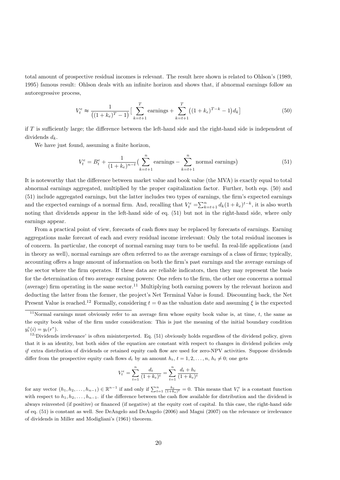total amount of prospective residual incomes is relevant. The result here shown is related to Ohlson's (1989, 1995) famous result: Ohlson deals with an infinite horizon and shows that, if abnormal earnings follow an autoregressive process,

$$
V_t^e \approx \frac{1}{((1+k_e)^T - 1)} \Big[ \sum_{k=t+1}^T \text{earnings} + \sum_{k=t+1}^T \big( (1+k_e)^{T-k} - 1 \big) d_k \Big] \tag{50}
$$

if  $T$  is sufficiently large; the difference between the left-hand side and the right-hand side is independent of dividends  $d_k$ .

We have just found, assuming a finite horizon,

$$
V_t^e = B_t^e + \frac{1}{(1 + k_e)^{n-t}} \left( \sum_{k=t+1}^n \text{earnings} - \sum_{k=t+1}^n \text{normal earnings} \right) \tag{51}
$$

It is noteworthy that the difference between market value and book value (the MVA) is exactly equal to total abnormal earnings aggregated, multiplied by the proper capitalization factor. Further, both eqs. (50) and (51) include aggregated earnings, but the latter includes two types of earnings, the firm's expected earnings and the expected earnings of a normal firm. And, recalling that  $V_t^e = \sum_{k=t+1}^n d_k (1 + k_e)^{t-k}$ , it is also worth noting that dividends appear in the left-hand side of eq. (51) but not in the right-hand side, where only earnings appear.

From a practical point of view, forecasts of cash flows may be replaced by forecasts of earnings. Earning aggregations make forecast of each and every residual income irrelevant: Only the total residual incomes is of concern. In particular, the concept of normal earning may turn to be useful. In real-life applications (and in theory as well), normal earnings are often referred to as the average earnings of a class of firms; typically, accounting offers a huge amount of information on both the firm's past earnings and the average earnings of the sector where the firm operates. If these data are reliable indicators, then they may represent the basis for the determination of two average earning powers: One refers to the firm, the other one concerns a normal (average) firm operating in the same sector.<sup>11</sup> Multiplying both earning powers by the relevant horizon and deducting the latter from the former, the project's Net Terminal Value is found. Discounting back, the Net Present Value is reached.<sup>12</sup> Formally, considering  $t = 0$  as the valuation date and assuming  $\xi$  is the expected

$$
V_t^e = \sum_{t=1}^n \frac{d_t}{(1+k_e)^t} = \sum_{t=1}^n \frac{d_t + h_t}{(1+k_e)^t}
$$

for any vector  $(h_1, h_2, \ldots, h_{n-1}) \in \mathbb{R}^{n-1}$  if and only if  $\sum_{t=1}^n \frac{h_t}{(1+k_e)^t} = 0$ . This means that  $V_t^e$  is a constant function with respect to  $h_1, h_2, \ldots, h_{n-1}$ , if the difference between the cash flow available for distribution and the dividend is always reinvested (if positive) or financed (if negative) at the equity cost of capital. In this case, the right-hand side of eq. (51) is constant as well. See DeAngelo and DeAngelo (2006) and Magni (2007) on the relevance or irrelevance of dividends in Miller and Modigliani's (1961) theorem.

<sup>&</sup>lt;sup>11</sup>Normal earnings must obviously refer to an average firm whose equity book value is, at time, t, the same as the equity book value of the firm under consideration: This is just the meaning of the initial boundary condition  $y_t^{\circ}(i) = y_t(r^*).$ 

 $12^2$ Dividends irrelevance' is often misinterpreted. Eq. (51) obviously holds regardless of the dividend policy, given that it is an identity, but both sides of the equation are constant with respect to changes in dividend policies only if extra distribution of dividends or retained equity cash flow are used for zero-NPV activities. Suppose dividends differ from the prospective equity cash flows  $d_t$  by an amount  $h_t$ ,  $t = 1, 2, \ldots, n$ ,  $h_t \neq 0$ ; one gets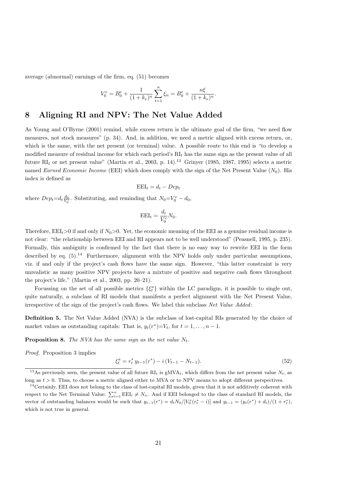average (abnormal) earnings of the firm, eq. (51) becomes

$$
V_0^e = B_0^e + \frac{1}{(1 + k_e)^n} \sum_{t=1}^n \xi_n = B_0^e + \frac{n\xi}{(1 + k_e)^n}.
$$

### 8 Aligning RI and NPV: The Net Value Added

As Young and O'Byrne (2001) remind, while excess return is the ultimate goal of the firm, "we need flow measures, not stock measures" (p. 34). And, in addition, we need a metric aligned with excess return, or, which is the same, with the net present (or terminal) value. A possible route to this end is "to develop a modified measure of residual income for which each period's  $RI_t$  has the same sign as the present value of all future  $RI_t$  or net present value" (Martin et al., 2003, p. 14).<sup>13</sup> Grinyer (1985, 1987, 1995) selects a metric named Earned Economic Income (EEI) which does comply with the sign of the Net Present Value  $(N_0)$ . His index is defined as

$$
EEL_t = d_t - Dep_t
$$

where  $Dep_t = d_t \frac{d_0}{V_0^e}$ . Substituting, and reminding that  $N_0 = V_0^e - d_0$ ,

$$
EEL_t = \frac{d_t}{V_0^e} N_0.
$$

Therefore,  $EEL_t>0$  if and only if  $N_0>0$ . Yet, the economic meaning of the EEI as a genuine residual income is not clear: "the relationship between EEI and RI appears not to be well understood" (Peasnell, 1995, p. 235). Formally, this ambiguity is confirmed by the fact that there is no easy way to rewrite EEI in the form described by eq.  $(5)$ .<sup>14</sup> Furthermore, alignment with the NPV holds only under particular assumptions, viz. if and only if the project's cash flows have the same sign. However, "this latter constraint is very unrealistic as many positive NPV projects have a mixture of positive and negative cash flows throughout the project's life." (Martin et al., 2003, pp. 20–21).

Focussing on the set of all possible metrics  $\{\xi^a_t\}$  within the LC paradigm, it is possible to single out, quite naturally, a subclass of RI models that manifests a perfect alignment with the Net Present Value, irrespective of the sign of the project's cash flows. We label this subclass Net Value Added:

Definition 5. The Net Value Added (NVA) is the subclass of lost-capital RIs generated by the choice of market values as outstanding capitals: That is,  $y_t(r^*) = V_t$ , for  $t = 1, ..., n - 1$ .

**Proposition 8.** The NVA has the same sign as the net value  $N_t$ .

Proof. Proposition 3 implies

$$
\xi_t^a = r_t^* y_{t-1}(r^*) - i(V_{t-1} - N_{t-1}).\tag{52}
$$

<sup>&</sup>lt;sup>13</sup>As previously seen, the present value of all future  $\mathrm{RI}_t$  is gMVA<sub>t</sub>, which differs from the net present value  $N_t$ , as long as  $t > 0$ . Thus, to choose a metric aligned either to MVA or to NPV means to adopt different perspectives.

<sup>&</sup>lt;sup>14</sup>Certainly, EEI does not belong to the class of lost-capital RI models, given that it is not additively coherent with respect to the Net Terminal Value:  $\sum_{t=1}^{n} E E I_t \neq N_n$ . And if EEI belonged to the class of standard RI models, the vector of outstanding balances would be such that  $y_{t-1}(r^*) = d_t N_0/[V_0^e(r_t^* - i)]$  and  $y_{t-1} = (y_t(r^*) + d_t)/(1 + r_t^*)$ which is not true in general.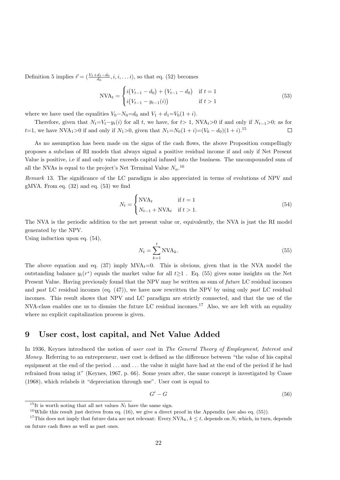Definition 5 implies  $\vec{r} = (\frac{V_1 + d_1 - d_0}{d_0}, i, i, \dots i)$ , so that eq. (52) becomes

$$
NVA_t = \begin{cases} i(V_{t-1} - d_0) + (V_{t-1} - d_0) & \text{if } t = 1\\ i(V_{t-1} - y_{t-1}(i)) & \text{if } t > 1 \end{cases}
$$
(53)

where we have used the equalities  $V_0 - N_0 = d_0$  and  $V_1 + d_1 = V_0(1 + i)$ .

Therefore, given that  $N_t=V_t-y_t(i)$  for all t, we have, for t> 1, NVA<sub>t</sub>>0 if and only if  $N_{t-1}>0$ ; as for t=1, we have NVA<sub>1</sub>>0 if and only if  $N_1>0$ , given that  $N_1=N_0(1+i)=(V_0-d_0)(1+i).$ <sup>15</sup>  $\Box$ 

As no assumption has been made on the signs of the cash flows, the above Proposition compellingly proposes a subclass of RI models that always signal a positive residual income if and only if Net Present Value is positive, i.e if and only value exceeds capital infused into the business. The uncompounded sum of all the NVAs is equal to the project's Net Terminal Value  $N_n$ .<sup>16</sup>

Remark 13. The significance of the LC paradigm is also appreciated in terms of evolutions of NPV and gMVA. From eq. (32) and eq. (53) we find

$$
N_t = \begin{cases} \text{NVA}_t & \text{if } t = 1\\ N_{t-1} + \text{NVA}_t & \text{if } t > 1. \end{cases} \tag{54}
$$

The NVA is the periodic addition to the net present value or, equivalently, the NVA is just the RI model generated by the NPV.

Using induction upon eq. (54),

$$
N_t = \sum_{k=1}^t \text{NVA}_k. \tag{55}
$$

The above equation and eq. (37) imply  $\text{MVA}_t=0$ . This is obvious, given that in the NVA model the outstanding balance  $y_t(r^*)$  equals the market value for all  $t\geq 1$ . Eq. (55) gives some insights on the Net Present Value. Having previously found that the NPV may be written as sum of future LC residual incomes and past LC residual incomes (eq.  $(47)$ ), we have now rewritten the NPV by using only past LC residual incomes. This result shows that NPV and LC paradigm are strictly connected, and that the use of the NVA-class enables one us to dismiss the future LC residual incomes.<sup>17</sup> Also, we are left with an equality where no explicit capitalization process is given.

### 9 User cost, lost capital, and Net Value Added

In 1936, Keynes introduced the notion of user cost in The General Theory of Employment, Interest and Money. Referring to an entrepreneur, user cost is defined as the difference between "the value of his capital equipment at the end of the period . . . and . . . the value it might have had at the end of the period if he had refrained from using it" (Keynes, 1967, p. 66). Some years after, the same concept is investigated by Coase (1968), which relabels it "depreciation through use". User cost is equal to

$$
G' - G \tag{56}
$$

<sup>&</sup>lt;sup>15</sup>It is worth noting that all net values  $N_t$  have the same sign.

<sup>&</sup>lt;sup>16</sup>While this result just derives from eq. (16), we give a direct proof in the Appendix (see also eq. (55)).

<sup>&</sup>lt;sup>17</sup>This does not imply that future data are not relevant: Every NVA<sub>k</sub>,  $k \leq t$ , depends on  $N_t$  which, in turn, depends on future cash flows as well as past ones.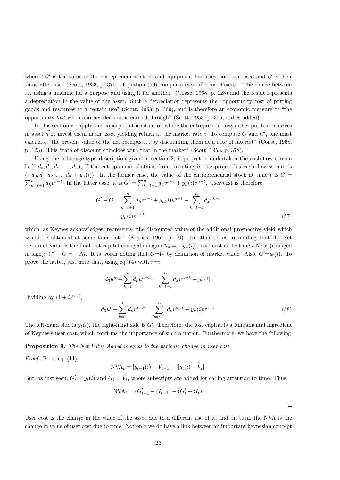where " $G'$  is the value of the entrepreneurial stock and equipment had they not been used and  $G$  is their value after use" (Scott, 1953, p. 370). Equation (56) compares two different choices: "The choice between . . . using a machine for a purpose and using it for another" (Coase, 1968, p. 123) and the result represents a depreciation in the value of the asset. Such a depreciation represents the "opportunity cost of putting goods and resources to a certain use" (Scott, 1953, p. 369), and is therefore an economic measure of "the opportunity lost when another decision is carried through" (Scott, 1953, p. 375, italics added).

In this section we apply this concept to the situation where the entrepreneur may either put his resources in asset  $\vec{d}$  or invest them in an asset yielding return at the market rate i. To compute G and G', one must calculate "the present value of the net receipts . . . by discounting them at a rate of interest" (Coase, 1968, p. 123). This "rate of discount coincides with that in the market" (Scott, 1953, p. 378).

Using the arbitrage-type description given in section 2, if project is undertaken the cash-flow stream is  $(-d_0, d_1, d_2, \ldots, d_n)$ ; if the entrepreneur abstains from investing in the projet, his cash-flow stream is  $(-d_0, d_1, d_2, \ldots, d_n + y_n(i))$ . In the former case, the value of the entrepreneurial stock at time t is  $G =$  $\sum_{k=t+1}^{n} d_k v^{k-t}$ . In the latter case, it is  $G' = \sum_{k=t+1}^{n} d_k v^{k-t} + y_n(i) v^{n-t}$ . User cost is therefore

$$
G' - G = \sum_{k=t+1}^{n} d_k v^{k-t} + y_n(i) v^{n-t} - \sum_{k=t+1}^{n} d_k v^{k-t}
$$
  
=  $y_n(i) v^{n-t}$  (57)

which, as Keynes acknowledges, represents "the discounted value of the additional prospective yield which would be obtained at some later date" (Keynes, 1967, p. 70). In other terms, reminding that the Net Terminal Value is the final lost capital changed in sign  $(N_n = -y_n(i))$ , user cost is the time-t NPV (changed in sign):  $G' - G = -N_t$ . It is worth noting that  $G=V_t$  by definition of market value. Also,  $G'=y_t(i)$ . To prove the latter, just note that, using eq. (4) with  $r=i$ ,

$$
d_0u^n - \sum_{k=1}^t d_k u^{n-k} = \sum_{k=t+1}^n d_k u^{n-k} + y_n(i).
$$

Dividing by  $(1+i)^{n-t}$ ,

$$
d_0 u^t - \sum_{k=1}^t d_k u^{t-k} = \sum_{k=t+1}^n d_k v^{k-t} + y_n(i) v^{n-t}.
$$
\n(58)

The left-hand side is  $y_t(i)$ , the right-hand side is G'. Therefore, the lost capital is a fundamental ingredient of Keynes's user cost, which confirms the importance of such a notion. Furthermore, we have the following

Proposition 9. The Net Value Added is equal to the periodic change in user cost

Proof. From eq. (11)

$$
NVA_t = [y_{t-1}(i) - V_{t-1}] - [y_t(i) - V_t].
$$

But, as just seen,  $G'_t = y_t(i)$  and  $G_t = V_t$ , where subscripts are added for calling attention to time. Thus,

$$
NVA_t = (G'_{t-1} - G_{t-1}) - (G'_{t} - G_{t}).
$$

 $\Box$ 

User cost is the change in the value of the asset due to a different use of it, and, in turn, the NVA is the change in value of user cost due to time. Not only we do have a link between an important keynesian concept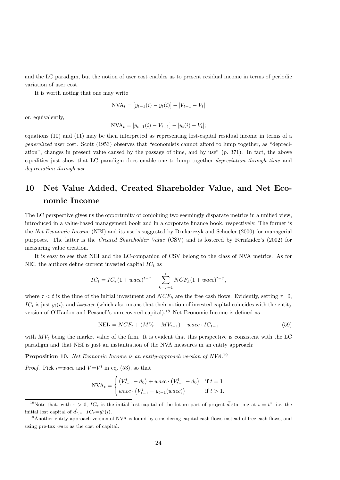and the LC paradigm, but the notion of user cost enables us to present residual income in terms of periodic variation of user cost.

It is worth noting that one may write

$$
NVA_t = [y_{t-1}(i) - y_t(i)] - [V_{t-1} - V_t]
$$

or, equivalently,

$$
NVA_t = [y_{t-1}(i) - V_{t-1}] - [y_t(i) - V_t];
$$

equations (10) and (11) may be then interpreted as representing lost-capital residual income in terms of a generalized user cost. Scott (1953) observes that "economists cannot afford to lump together, as "depreciation", changes in present value caused by the passage of time, and by use" (p. 371). In fact, the above equalities just show that LC paradigm does enable one to lump together depreciation through time and depreciation through use.

# 10 Net Value Added, Created Shareholder Value, and Net Economic Income

The LC perspective gives us the opportunity of conjoining two seemingly disparate metrics in a unified view, introduced in a value-based management book and in a corporate finance book, respectively. The former is the Net Economic Income (NEI) and its use is suggested by Drukarczyk and Schueler (2000) for managerial purposes. The latter is the Created Shareholder Value (CSV) and is fostered by Fernández's (2002) for measuring value creation.

It is easy to see that NEI and the LC-companion of CSV belong to the class of NVA metrics. As for NEI, the authors define current invested capital  $IC_t$  as

$$
IC_t = IC_{\tau}(1 + wacc)^{t-\tau} - \sum_{k=\tau+1}^{t} NCF_k(1 + wacc)^{t-\tau},
$$

where  $\tau < t$  is the time of the initial investment and  $NCF_k$  are the free cash flows. Evidently, setting  $\tau=0$ ,  $IC_t$  is just  $y_t(i)$ , and  $i=wacc$  (which also means that their notion of invested capital coincides with the entity version of O'Hanlon and Peasnell's unrecovered capital).<sup>18</sup> Net Economic Income is defined as

$$
NEI_t = NCF_t + (MV_t - MV_{t-1}) - wacc \cdot IC_{t-1}
$$
\n
$$
(59)
$$

with  $MV_t$  being the market value of the firm. It is evident that this perspective is consistent with the LC paradigm and that NEI is just an instantiation of the NVA measures in an entity approach:

**Proposition 10.** Net Economic Income is an entity-approach version of NVA.<sup>19</sup>

*Proof.* Pick *i*=*wacc* and  $V=V<sup>l</sup>$  in eq. (53), so that

$$
NVA_t = \begin{cases} (V_{t-1}^l - d_0) + wacc \cdot (V_{t-1}^l - d_0) & \text{if } t = 1\\ wacc \cdot (V_{t-1}^l - y_{t-1}(wacc)) & \text{if } t > 1. \end{cases}
$$

<sup>&</sup>lt;sup>18</sup>Note that, with  $\tau > 0$ ,  $IC_{\tau}$  is the initial lost-capital of the future part of project  $\vec{d}$  starting at  $t = t^*$ , i.e. the initial lost capital of  $\vec{d}_{\tau,n}$ :  $IC_{\tau} = y_{\tau}^{\circ}(i)$ .

 $19$ Another entity-approach version of NVA is found by considering capital cash flows instead of free cash flows, and using pre-tax wacc as the cost of capital.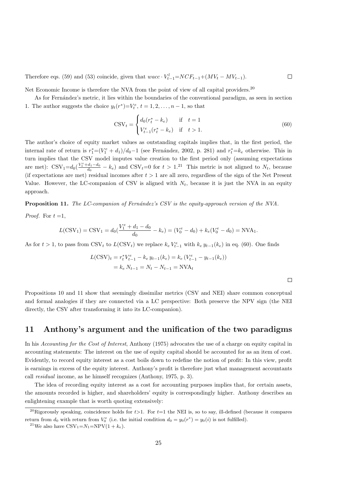Therefore eqs. (59) and (53) coincide, given that  $wacc \cdot V_{t-1}^l = NCF_{t-1} + (MV_t - MV_{t-1})$ .  $\Box$ 

Net Economic Income is therefore the NVA from the point of view of all capital providers.<sup>20</sup>

As for Fernández's metric, it lies within the boundaries of the conventional paradigm, as seen in section 1. The author suggests the choice  $y_t(r^*)=V_t^e, t=1, 2, ..., n-1$ , so that

$$
CSV_t = \begin{cases} d_0(r_t^* - k_e) & \text{if } t = 1\\ V_{t-1}^e(r_t^* - k_e) & \text{if } t > 1. \end{cases}
$$
 (60)

The author's choice of equity market values as outstanding capitals implies that, in the first period, the internal rate of return is  $r_1^* = (V_1^e + d_1)/d_0 - 1$  (see Fernández, 2002, p. 281) and  $r_t^* = k_e$  otherwise. This in turn implies that the CSV model imputes value creation to the first period only (assuming expectations are met):  $\text{CSV}_1=d_0(\frac{V_1^e+d_1-d_0}{d_0}-k_e)$  and  $\text{CSV}_t=0$  for  $t>1.^{21}$  This metric is not aligned to  $N_t$ , because (if expectations are met) residual incomes after  $t > 1$  are all zero, regardless of the sign of the Net Present Value. However, the LC-companion of CSV is aligned with  $N_t$ , because it is just the NVA in an equity approach.

Proposition 11. The LC-companion of Fernández's CSV is the equity-approach version of the NVA. *Proof.* For  $t = 1$ ,

$$
L(CSV1) = CSV1 = d0(\frac{V1e + d1 - d0}{d0} - ke) = (V0e - d0) + ke(V0e - d0) = NVA1.
$$

As for  $t > 1$ , to pass from CSV<sub>t</sub> to  $L(\text{CSV}_t)$  we replace  $k_e V_{t-1}^e$  with  $k_e y_{t-1}(k_e)$  in eq. (60). One finds

$$
L(CSV)_t = r_t^* V_{t-1}^e - k_e y_{t-1}(k_e) = k_e (V_{t-1}^e - y_{t-1}(k_e))
$$
  
=  $k_e N_{t-1} = N_t - N_{t-1} = NVA_t$ 

 $\Box$ 

Propositions 10 and 11 show that seemingly dissimilar metrics (CSV and NEI) share common conceptual and formal analogies if they are connected via a LC perspective: Both preserve the NPV sign (the NEI directly, the CSV after transforming it into its LC-companion).

### 11 Anthony's argument and the unification of the two paradigms

In his Accounting for the Cost of Interest, Anthony (1975) advocates the use of a charge on equity capital in accounting statements: The interest on the use of equity capital should be accounted for as an item of cost. Evidently, to record equity interest as a cost boils down to redefine the notion of profit: In this view, profit is earnings in excess of the equity interest. Anthony's profit is therefore just what management accountants call residual income, as he himself recognizes (Anthony, 1975, p. 3).

The idea of recording equity interest as a cost for accounting purposes implies that, for certain assets, the amounts recorded is higher, and shareholders' equity is correspondingly higher. Anthony describes an enlightening example that is worth quoting extensively:

<sup>&</sup>lt;sup>20</sup>Rigorously speaking, coincidence holds for  $t>1$ . For  $t=1$  the NEI is, so to say, ill-defined (because it compares return from  $d_0$  with return from  $V_0^e$  (i.e. the initial condition  $d_0 = y_0(r^*) = y_0(i)$  is not fulfilled).

<sup>&</sup>lt;sup>21</sup>We also have  $\text{CSV}_1=N_1=\text{NPV}(1+k_e)$ .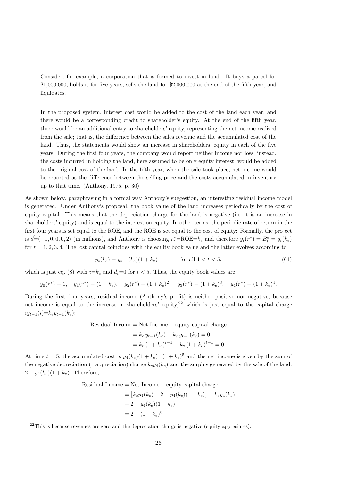Consider, for example, a corporation that is formed to invest in land. It buys a parcel for \$1,000,000, holds it for five years, sells the land for \$2,000,000 at the end of the fifth year, and liquidates.

. . .

In the proposed system, interest cost would be added to the cost of the land each year, and there would be a corresponding credit to shareholder's equity. At the end of the fifth year, there would be an additional entry to shareholders' equity, representing the net income realized from the sale; that is, the difference between the sales revenue and the accumulated cost of the land. Thus, the statements would show an increase in shareholders' equity in each of the five years. During the first four years, the company would report neither income nor loss; instead, the costs incurred in holding the land, here assumed to be only equity interest, would be added to the original cost of the land. In the fifth year, when the sale took place, net income would be reported as the difference between the selling price and the costs accumulated in inventory up to that time. (Anthony, 1975, p. 30)

As shown below, paraphrasing in a formal way Anthony's suggestion, an interesting residual income model is generated. Under Anthony's proposal, the book value of the land increases periodically by the cost of equity capital. This means that the depreciation charge for the land is negative (i.e. it is an increase in shareholders' equity) and is equal to the interest on equity. In other terms, the periodic rate of return in the first four years is set equal to the ROE, and the ROE is set equal to the cost of equity: Formally, the project is  $\vec{d} = (-1, 0, 0, 0, 2)$  (in millions), and Anthony is choosing  $r_t^* = \text{ROE} = k_e$  and therefore  $y_t(r^*) = B_t^e = y_t(k_e)$ for  $t = 1, 2, 3, 4$ . The lost capital coincides with the equity book value and the latter evolves according to

$$
y_t(k_e) = y_{t-1}(k_e)(1 + k_e) \qquad \text{for all } 1 < t < 5,\tag{61}
$$

which is just eq. (8) with  $i=k_e$  and  $d_t=0$  for  $t < 5$ . Thus, the equity book values are

$$
y_0(r^*) = 1
$$
,  $y_1(r^*) = (1 + k_e)$ ,  $y_2(r^*) = (1 + k_e)^2$ ,  $y_3(r^*) = (1 + k_e)^3$ ,  $y_4(r^*) = (1 + k_e)^4$ .

During the first four years, residual income (Anthony's profit) is neither positive nor negative, because net income is equal to the increase in shareholders' equity,  $2^2$  which is just equal to the capital charge  $iy_{t-1}(i)=k_{e}y_{t-1}(k_{e})$ :

 $Residual$  Income = Net Income  $-$  equity capital charge

$$
= k_e y_{t-1}(k_e) - k_e y_{t-1}(k_e) = 0.
$$
  
=  $k_e (1 + k_e)^{t-1} - k_e (1 + k_e)^{t-1} = 0.$ 

At time  $t = 5$ , the accumulated cost is  $y_4(k_e)(1 + k_e) = (1 + k_e)^5$  and the net income is given by the sum of the negative depreciation (=appreciation) charge  $k_e y_4(k_e)$  and the surplus generated by the sale of the land:  $2 - y_4(k_e)(1 + k_e)$ . Therefore,

 $Residual$  Income = Net Income  $-$  equity capital charge

$$
= [k_e y_4(k_e) + 2 - y_4(k_e)(1 + k_e)] - k_e y_4(k_e)
$$
  
= 2 - y\_4(k\_e)(1 + k\_e)  
= 2 - (1 + k\_e)<sup>5</sup>

 $22$ This is because revenues are zero and the depreciation charge is negative (equity appreciates).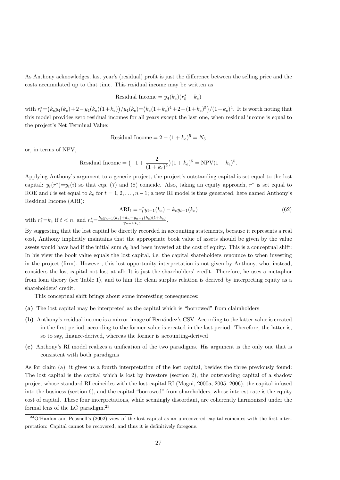As Anthony acknowledges, last year's (residual) profit is just the difference between the selling price and the costs accumulated up to that time. This residual income may be written as

Residual Income = 
$$
y_4(k_e)(r_5^* - k_e)
$$

with  $r_5^* = (k_e y_4(k_e) + 2 - y_4(k_e)(1+k_e)) / y_4(k_e) = (k_e(1+k_e)^4 + 2 - (1+k_e)^5) / (1+k_e)^4$ . It is worth noting that this model provides zero residual incomes for all years except the last one, when residual income is equal to the project's Net Terminal Value:

Residual Income = 
$$
2 - (1 + k_e)^5 = N_5
$$

or, in terms of NPV,

Residual Income = 
$$
(-1 + \frac{2}{(1 + k_e)^5})(1 + k_e)^5 = NPV(1 + k_e)^5
$$
.

Applying Anthony's argument to a generic project, the project's outstanding capital is set equal to the lost capital:  $y_t(r^*)=y_t(i)$  so that eqs. (7) and (8) coincide. Also, taking an equity approach,  $r^*$  is set equal to ROE and i is set equal to  $k_e$  for  $t = 1, 2, \ldots, n-1$ ; a new RI model is thus generated, here named Anthony's Residual Income (ARI):

$$
ARI_t = r_t^* y_{t-1}(k_e) - k_e y_{t-1}(k_e)
$$
  
with  $r_t^* = k_e$  if  $t < n$ , and  $r_n^* = \frac{k_e y_{n-1}(k_e) + d_n - y_{n-1}(k_e)(1+k_e)}{y_{n-1}(k_e)}$ . (62)

By suggesting that the lost capital be directly recorded in accounting statements, because it represents a real cost, Anthony implicitly maintains that the appropriate book value of assets should be given by the value assets would have had if the initial sum  $d_0$  had been invested at the cost of equity. This is a conceptual shift: In his view the book value equals the lost capital, i.e. the capital shareholders renounce to when investing in the project (firm). However, this lost-opportunity interpretation is not given by Anthony, who, instead, considers the lost capital not lost at all: It is just the shareholders' credit. Therefore, he uses a metaphor from loan theory (see Table 1), and to him the clean surplus relation is derived by interpreting equity as a shareholders' credit.

This conceptual shift brings about some interesting consequences:

- (a) The lost capital may be interpreted as the capital which is "borrowed" from claimholders
- (b) Anthony's residual income is a mirror-image of Fernández's CSV: According to the latter value is created in the first period, according to the former value is created in the last period. Therefore, the latter is, so to say, finance-derived, whereas the former is accounting-derived
- (c) Anthony's RI model realizes a unification of the two paradigms. His argument is the only one that is consistent with both paradigms

As for claim (a), it gives us a fourth interpretation of the lost capital, besides the three previously found: The lost capital is the capital which is lost by investors (section 2), the outstanding capital of a shadow project whose standard RI coincides with the lost-capital RI (Magni, 2000a, 2005, 2006), the capital infused into the business (section 6), and the capital "borrowed" from shareholders, whose interest rate is the equity cost of capital. These four interpretations, while seemingly discordant, are coherently harmonized under the formal lens of the LC paradigm.<sup>23</sup>

 $23$ O'Hanlon and Peasnell's (2002) view of the lost capital as an unrecovered capital coincides with the first interpretation: Capital cannot be recovered, and thus it is definitively foregone.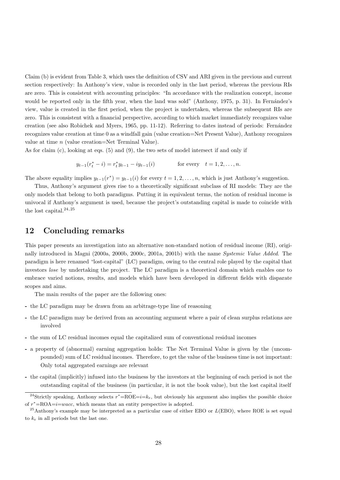Claim (b) is evident from Table 3, which uses the definition of CSV and ARI given in the previous and current section respectively: In Anthony's view, value is recorded only in the last period, whereas the previous RIs are zero. This is consistent with accounting principles: "In accordance with the realization concept, income would be reported only in the fifth year, when the land was sold" (Anthony, 1975, p. 31). In Fernández's view, value is created in the first period, when the project is undertaken, whereas the subsequent RIs are zero. This is consistent with a financial perspective, according to which market immediately recognizes value creation (see also Robichek and Myers, 1965, pp. 11-12). Referring to dates instead of periods: Fernández recognizes value creation at time 0 as a windfall gain (value creation=Net Present Value), Anthony recognizes value at time n (value creation=Net Terminal Value).

As for claim (c), looking at eqs. (5) and (9), the two sets of model intersect if and only if

$$
y_{t-1}(r_t^* - i) = r_t^* y_{t-1} - iy_{t-1}(i)
$$
 for every  $t = 1, 2, ..., n$ .

The above equality implies  $y_{t-1}(r^*) = y_{t-1}(i)$  for every  $t = 1, 2, ..., n$ , which is just Anthony's suggestion.

Thus, Anthony's argument gives rise to a theoretically significant subclass of RI models: They are the only models that belong to both paradigms. Putting it in equivalent terms, the notion of residual income is univocal if Anthony's argument is used, because the project's outstanding capital is made to coincide with the lost capital. $24,25$ 

### 12 Concluding remarks

This paper presents an investigation into an alternative non-standard notion of residual income (RI), originally introduced in Magni (2000a, 2000b, 2000c, 2001a, 2001b) with the name Systemic Value Added. The paradigm is here renamed "lost-capital" (LC) paradigm, owing to the central role played by the capital that investors lose by undertaking the project. The LC paradigm is a theoretical domain which enables one to embrace varied notions, results, and models which have been developed in different fields with disparate scopes and aims.

The main results of the paper are the following ones:

- the LC paradigm may be drawn from an arbitrage-type line of reasoning
- the LC paradigm may be derived from an accounting argument where a pair of clean surplus relations are involved
- the sum of LC residual incomes equal the capitalized sum of conventional residual incomes
- a property of (abnormal) earning aggregation holds: The Net Terminal Value is given by the (uncompounded) sum of LC residual incomes. Therefore, to get the value of the business time is not important: Only total aggregated earnings are relevant
- the capital (implicitly) infused into the business by the investors at the beginning of each period is not the outstanding capital of the business (in particular, it is not the book value), but the lost capital itself

<sup>&</sup>lt;sup>24</sup>Strictly speaking, Anthony selects  $r^*$ =ROE=i= $k_e$ , but obviously his argument also implies the possible choice of  $r^*$ =ROA= $i$ =wacc, which means that an entity perspective is adopted.

<sup>&</sup>lt;sup>25</sup>Anthony's example may be interpreted as a particular case of either EBO or  $L(EBO)$ , where ROE is set equal to  $k_e$  in all periods but the last one.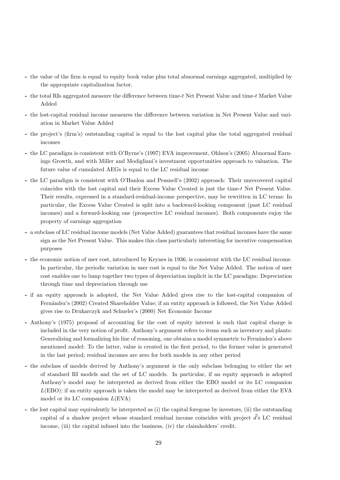- the value of the firm is equal to equity book value plus total abnormal earnings aggregated, multiplied by the appropriate capitalization factor.
- the total RIs aggregated measure the difference between time-t Net Present Value and time-t Market Value Added
- the lost-capital residual income measures the difference between variation in Net Present Value and variation in Market Value Added
- the project's (firm's) outstanding capital is equal to the lost capital plus the total aggregated residual incomes
- the LC paradigm is consistent with O'Byrne's (1997) EVA improvement, Ohlson's (2005) Abnormal Earnings Growth, and with Miller and Modigliani's investment opportunities approach to valuation. The future value of cumulated AEGs is equal to the LC residual income
- the LC paradigm is consistent with O'Hanlon and Peasnell's (2002) approach: Their unrecovered capital coincides with the lost capital and their Excess Value Created is just the time-t Net Present Value. Their results, expressed in a standard-residual-income perspective, may be rewritten in LC terms: In particular, the Excess Value Created is split into a backward-looking component (past LC residual incomes) and a forward-looking one (prospective LC residual incomes). Both components enjoy the property of earnings aggregation
- a subclass of LC residual income models (Net Value Added) guarantees that residual incomes have the same sign as the Net Present Value. This makes this class particularly interesting for incentive compensation purposes
- the economic notion of user cost, introduced by Keynes in 1936, is consistent with the LC residual income. In particular, the periodic variation in user cost is equal to the Net Value Added. The notion of user cost enables one to lump together two types of depreciation implicit in the LC paradigm: Depreciation through time and depreciation through use
- if an equity approach is adopted, the Net Value Added gives rise to the lost-capital companion of Fern´andez's (2002) Created Shareholder Value; if an entity approach is followed, the Net Value Added gives rise to Drukarczyk and Schueler's (2000) Net Economic Income
- Anthony's (1975) proposal of accounting for the cost of equity interest is such that capital charge is included in the very notion of profit. Anthony's argument refers to items such as inventory and plants: Generalizing and formalizing his line of reasoning, one obtains a model symmetric to Fernández's above mentioned model: To the latter, value is created in the first period, to the former value is generated in the last period; residual incomes are zero for both models in any other period
- the subclass of models derived by Anthony's argument is the only subclass belonging to either the set of standard RI models and the set of LC models. In particular, if an equity approach is adopted Anthony's model may be interpreted as derived from either the EBO model or its LC companion  $L(EBO)$ ; if an entity approach is taken the model may be interpreted as derived from either the EVA model or its LC companion  $L(EVA)$
- the lost capital may equivalently be interpreted as (i) the capital foregone by investors, (ii) the outstanding capital of a shadow project whose standard residual income coincides with project  $\vec{d}$ 's LC residual income, (iii) the capital infused into the business, (iv) the claimholders' credit.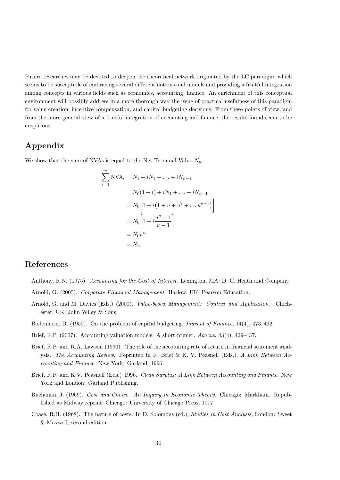Future researches may be devoted to deepen the theoretical network originated by the LC paradigm, which seems to be susceptible of embracing several different notions and models and providing a fruitful integration among concepts in various fields such as economics, accounting, finance. An enrichment of this conceptual environment will possibly address in a more thorough way the issue of practical usefulness of this paradigm for value creation, incentive compensation, and capital budgeting decisions. From these points of view, and from the more general view of a fruitful integration of accounting and finance, the results found seem to be auspicious.

### Appendix

We show that the sum of NVAs is equal to the Net Terminal Value  $N_n$ .

$$
\sum_{t=1}^{n} NVA_t = N_1 + iN_1 + \dots + iN_{n-1}
$$
  
=  $N_0(1 + i) + iN_1 + \dots + iN_{n-1}$   
=  $N_0 \left[ 1 + i(1 + u + u^2 + \dots u^{n-1}) \right]$   
=  $N_0 \left[ 1 + i \frac{u^n - 1}{u - 1} \right]$   
=  $N_0 u^n$   
=  $N_n$ 

### References

- Anthony, R.N. (1975). Accounting for the Cost of Interest. Lexington, MA: D. C. Heath and Company.
- Arnold, G. (2005). Corporate Financial Management. Harlow, UK: Pearson Education.
- Arnold, G. and M. Davies (Eds.) (2000). Value-based Management: Context and Application. Chichester, UK: John Wiley & Sons.
- Bodenhorn, D. (1959). On the problem of capital budgeting, Journal of Finance, 14(4), 473–492.
- Brief, R.P. (2007). Accounting valuation models: A short primer. Abacus, 43(4), 429–437.
- Brief, R.P. and R.A. Lawson (1990). The role of the accounting rate of return in financial statement analysis. The Accounting Review. Reprinted in R. Brief & K. V. Peasnell (Eds.), A Link Between Accounting and Finance. New York: Garland, 1996.
- Brief, R.P. and K.V. Peasnell (Eds.) 1996. Clean Surplus: A Link Between Accounting and Finance. New York and London: Garland Publishing.
- Buchanan, J. (1969). Cost and Choice. An Inquiry in Economic Theory. Chicago: Markham. Republished as Midway reprint, Chicago: University of Chicago Press, 1977.
- Coase, R.H. (1968). The nature of costs. In D. Solomons (ed.), Studies in Cost Analysis, London: Sweet & Maxwell, second edition.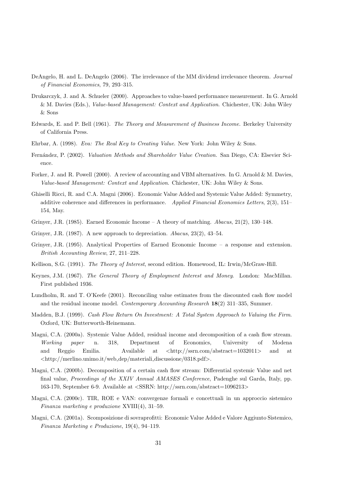- DeAngelo, H. and L. DeAngelo (2006). The irrelevance of the MM dividend irrelevance theorem. Journal of Financial Economics, 79, 293–315.
- Drukarczyk, J. and A. Schueler (2000). Approaches to value-based performance measurement. In G. Arnold & M. Davies (Eds.), Value-based Management: Context and Application. Chichester, UK: John Wiley & Sons
- Edwards, E. and P. Bell (1961). The Theory and Measurement of Business Income. Berkeley University of California Press.
- Ehrbar, A. (1998). Eva: The Real Key to Creating Value. New York: John Wiley & Sons.
- Fern´andez, P. (2002). Valuation Methods and Shareholder Value Creation. San Diego, CA: Elsevier Science.
- Forker, J. and R. Powell (2000). A review of accounting and VBM alternatives. In G. Arnold & M. Davies, Value-based Management: Context and Application. Chichester, UK: John Wiley & Sons.
- Ghiselli Ricci, R. and C.A. Magni (2006). Economic Value Added and Systemic Value Added: Symmetry, additive coherence and differences in performance. Applied Financial Economics Letters, 2(3), 151– 154, May.
- Grinyer, J.R. (1985). Earned Economic Income A theory of matching.  $Abacus, 21(2), 130-148$ .
- Grinyer, J.R. (1987). A new approach to depreciation. Abacus, 23(2), 43–54.
- Grinyer, J.R. (1995). Analytical Properties of Earned Economic Income a response and extension. British Accounting Review, 27, 211–228.
- Kellison, S.G. (1991). The Theory of Interest, second edition. Homewood, IL: Irwin/McGraw-Hill.
- Keynes, J.M. (1967). The General Theory of Employment Interest and Money. London: MacMillan. First published 1936.
- Lundholm, R. and T. O'Keefe (2001). Reconciling value estimates from the discounted cash flow model and the residual income model. Contemporary Accounting Research 18(2) 311–335, Summer.
- Madden, B.J. (1999). Cash Flow Return On Investment: A Total System Approach to Valuing the Firm. Oxford, UK: Butterworth-Heinemann.
- Magni, C.A. (2000a). Systemic Value Added, residual income and decomposition of a cash flow stream. Working paper n. 318, Department of Economics, University of Modena and Reggio Emilia. Available at <http://ssrn.com/abstract=1032011> and at <http://merlino.unimo.it/web dep/materiali discussione/0318.pdf>.
- Magni, C.A. (2000b). Decomposition of a certain cash flow stream: Differential systemic Value and net final value, Proceedings of the XXIV Annual AMASES Conference, Padenghe sul Garda, Italy, pp. 163-170, September 6-9. Available at <SSRN: http://ssrn.com/abstract=1096213>
- Magni, C.A. (2000c). TIR, ROE e VAN: convergenze formali e concettuali in un approccio sistemico Finanza marketing e produzione XVIII(4), 31–59.
- Magni, C.A. (2001a). Scomposizione di sovraprofitti: Economic Value Added e Valore Aggiunto Sistemico, Finanza Marketing e Produzione, 19(4), 94–119.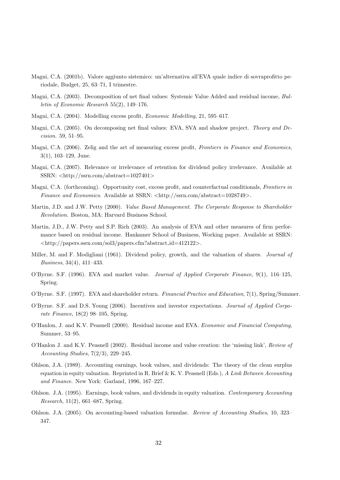- Magni, C.A. (2001b). Valore aggiunto sistemico: un'alternativa all'EVA quale indice di sovraprofitto periodale, Budget, 25, 63–71, I trimestre.
- Magni, C.A. (2003). Decomposition of net final values: Systemic Value Added and residual income, Bulletin of Economic Research 55(2), 149–176.
- Magni, C.A. (2004). Modelling excess profit, Economic Modelling, 21, 595–617.
- Magni, C.A. (2005). On decomposing net final values: EVA, SVA and shadow project. Theory and Decision. 59, 51–95.
- Magni, C.A. (2006). Zelig and the art of measuring excess profit, Frontiers in Finance and Economics, 3(1), 103–129, June.
- Magni, C.A. (2007). Relevance or irrelevance of retention for dividend policy irrelevance. Available at SSRN: <http://ssrn.com/abstract=1027401>
- Magni, C.A. (forthcoming). Opportunity cost, excess profit, and counterfactual conditionals, Frontiers in Finance and Economics. Available at SSRN:  $\langle \text{http://ssrn.com/abstract=1028749>}$ .
- Martin, J.D. and J.W. Petty (2000). *Value Based Management. The Corporate Response to Shareholder* Revolution. Boston, MA: Harvard Business School.
- Martin, J.D., J.W. Petty and S.P. Rich (2003). An analysis of EVA and other measures of firm performance based on residual income. Hankamer School of Business, Working paper. Available at SSRN: <http://papers.ssrn.com/sol3/papers.cfm?abstract id=412122>.
- Miller, M. and F. Modigliani (1961). Dividend policy, growth, and the valuation of shares. *Journal of* Business, 34(4), 411–433.
- O'Byrne. S.F. (1996). EVA and market value. Journal of Applied Corporate Finance, 9(1), 116–125, Spring.
- O'Byrne. S.F. (1997). EVA and shareholder return. Financial Practice and Education, 7(1), Spring/Summer.
- O'Byrne. S.F. and D.S. Young (2006). Incentives and investor expectations. Journal of Applied Corporate Finance, 18(2) 98–105, Spring.
- O'Hanlon, J. and K.V. Peasnell (2000). Residual income and EVA. Economic and Financial Computing, Summer, 53–95.
- O'Hanlon J. and K.V. Peasnell (2002). Residual income and value creation: the 'missing link', Review of Accounting Studies, 7(2/3), 229–245.
- Ohlson, J.A. (1989). Accounting earnings, book values, and dividends: The theory of the clean surplus equation in equity valuation. Reprinted in R. Brief & K. V. Peasnell (Eds.), A Link Between Accounting and Finance. New York: Garland, 1996, 167–227.
- Ohlson. J.A. (1995). Earnings, book values, and dividends in equity valuation. Contemporary Accounting Research, 11(2), 661–687, Spring.
- Ohlson. J.A. (2005). On accounting-based valuation formulae. Review of Accounting Studies, 10, 323– 347.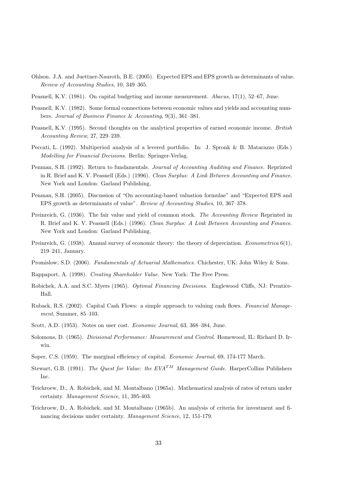- Ohlson. J.A. and Juettner-Nauroth, B.E. (2005). Expected EPS and EPS growth as determinants of value. Review of Accounting Studies, 10, 349–365.
- Peasnell, K.V. (1981). On capital budgeting and income measurement. Abacus, 17(1), 52–67, June.
- Peasnell, K.V. (1982). Some formal connections between economic values and yields and accounting numbers. Journal of Business Finance & Accounting, 9(3), 361–381.
- Peasnell, K.V. (1995). Second thoughts on the analytical properties of earned economic income. British Accounting Review, 27, 229–239.
- Peccati, L. (1992). Multiperiod analysis of a levered portfolio. In: J. Spronk & B. Matarazzo (Eds.) Modelling for Financial Decisions. Berlin: Springer-Verlag.
- Penman, S.H. (1992). Return to fundamentals. Journal of Accounting Auditing and Finance. Reprinted in R. Brief and K. V. Peasnell (Eds.) (1996). Clean Surplus: A Link Between Accounting and Finance. New York and London: Garland Publishing.
- Penman, S.H. (2005). Discussion of "On accounting-based valuation formulae" and "Expected EPS and EPS growth as determinants of value". Review of Accounting Studies, 10, 367–378.
- Preinreich, G. (1936). The fair value and yield of common stock. The Accounting Review Reprinted in R. Brief and K. V. Peasnell (Eds.) (1996). Clean Surplus: A Link Between Accounting and Finance. New York and London: Garland Publishing.
- Preinreich, G. (1938). Annual survey of economic theory: the theory of depreciation. *Econometrica* 6(1), 219–241, January.
- Promislow, S.D. (2006). Fundamentals of Actuarial Mathematics. Chichester, UK: John Wiley & Sons.
- Rappaport, A. (1998). Creating Shareholder Value. New York: The Free Press.
- Robichek, A.A. and S.C. Myers (1965). Optimal Financing Decisions. Englewood Cliffs, NJ: Prentice-Hall.
- Ruback, R.S. (2002). Capital Cash Flows: a simple approach to valuing cash flows. Financial Management, Summer, 85–103.
- Scott, A.D. (1953). Notes on user cost. Economic Journal, 63, 368–384, June.
- Solomons, D. (1965). Divisional Performance: Measurement and Control. Homewood, IL: Richard D. Irwin.
- Soper, C.S. (1959). The marginal efficiency of capital. *Economic Journal*, 69, 174-177 March.
- Stewart, G.B. (1991). The Quest for Value: the  $EVA^{TM}$  Management Guide. HarperCollins Publishers Inc.
- Teichroew, D., A. Robichek, and M. Montalbano (1965a). Mathematical analysis of rates of return under certainty. Management Science, 11, 395-403.
- Teichroew, D., A. Robichek, and M. Montalbano (1965b). An analysis of criteria for investment and financing decisions under certainty. Management Science, 12, 151-179.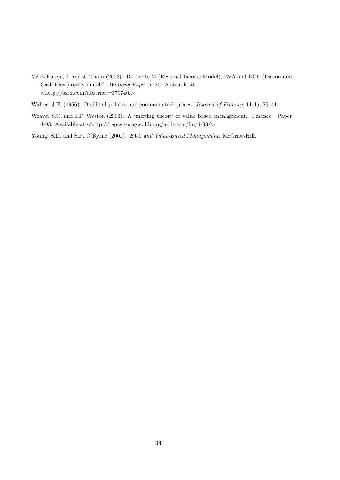- V´elez-Pareja, I. and J. Tham (2003). Do the RIM (Residual Income Model), EVA and DCF (Discounted Cash Flow) really match?. Working Paper n. 25. Available at  $\langle \text{http://ssrn.com/abstract=379740.}\rangle$
- Walter, J.E. (1956). Dividend policies and common stock prices. Journal of Finance, 11(1), 29-41.
- Weaver S.C. and J.F. Weston (2003). A unifying theory of value based management. Finance. Paper 4-03. Available at  $\langle \text{http://repositories.cdlib.org/anderson/fin/4-03/}\rangle$
- Young, S.D. and S.F. O'Byrne (2001). EVA and Value-Based Management. McGraw-Hill.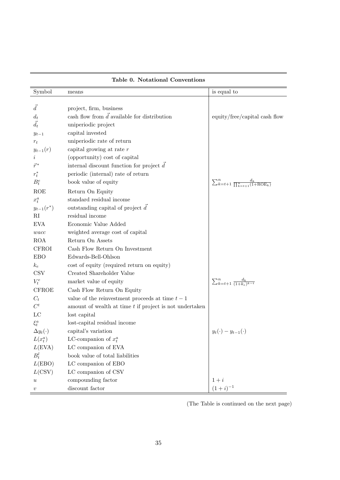| Symbol              | means                                                     | is equal to                                                         |
|---------------------|-----------------------------------------------------------|---------------------------------------------------------------------|
|                     |                                                           |                                                                     |
| $\vec{d}$           | project, firm, business                                   |                                                                     |
| $d_t$               | cash flow from $\vec{d}$ available for distribution       | equity/free/capital cash flow                                       |
| $\vec{d}_t$         | uniperiodic project                                       |                                                                     |
| $y_{t-1}$           | capital invested                                          |                                                                     |
| $r_t$               | uniperiodic rate of return                                |                                                                     |
| $y_{t-1}(r)$        | capital growing at rate $r$                               |                                                                     |
| $\dot{\imath}$      | (opportunity) cost of capital                             |                                                                     |
| $\vec{r}^*$         | internal discount function for project $d$                |                                                                     |
| $r_t^*$             | periodic (internal) rate of return                        |                                                                     |
| $B_t^e$             | book value of equity                                      | $\sum_{k=t+1}^{n} \frac{d_k}{\prod_{k=t+1}^{n} (1 + \text{ROE}_k)}$ |
| <b>ROE</b>          | Return On Equity                                          |                                                                     |
| $x_t^a$             | standard residual income                                  |                                                                     |
| $y_{t-1}(r^*)$      | outstanding capital of project $\vec{d}$                  |                                                                     |
| RI                  | residual income                                           |                                                                     |
| <b>EVA</b>          | Economic Value Added                                      |                                                                     |
| wacc                | weighted average cost of capital                          |                                                                     |
| <b>ROA</b>          | Return On Assets                                          |                                                                     |
| <b>CFROI</b>        | Cash Flow Return On Investment                            |                                                                     |
| <b>EBO</b>          | Edwards-Bell-Ohlson                                       |                                                                     |
| $k_e$               | cost of equity (required return on equity)                |                                                                     |
| <b>CSV</b>          | Created Shareholder Value                                 |                                                                     |
| $V_t^e$             | market value of equity                                    | $\sum_{k=t+1}^{n} \frac{d_k}{(1+k_e)^{k-t}}$                        |
| <b>CFROE</b>        | Cash Flow Return On Equity                                |                                                                     |
| $C_t$               | value of the reinvestment proceeds at time $t-1$          |                                                                     |
| $C^t$               | amount of wealth at time $t$ if project is not undertaken |                                                                     |
| LC                  | lost capital                                              |                                                                     |
| $\xi_t^a$           | lost-capital residual income                              |                                                                     |
| $\Delta y_t(\cdot)$ | capital's variation                                       | $y_t(\cdot) - y_{t-1}(\cdot)$                                       |
| $L(x_t^a)$          | LC-companion of $x_t^a$                                   |                                                                     |
| L(EVA)              | LC companion of EVA                                       |                                                                     |
| $B_t^l$             | book value of total liabilities                           |                                                                     |
| L(EBO)              | LC companion of EBO                                       |                                                                     |
| L(CSV)              | LC companion of CSV                                       |                                                                     |
| $\boldsymbol{u}$    | compounding factor                                        | $1+i$                                                               |
| $\boldsymbol{v}$    | discount factor                                           | $(1+i)^{-1}$                                                        |

(The Table is continued on the next page)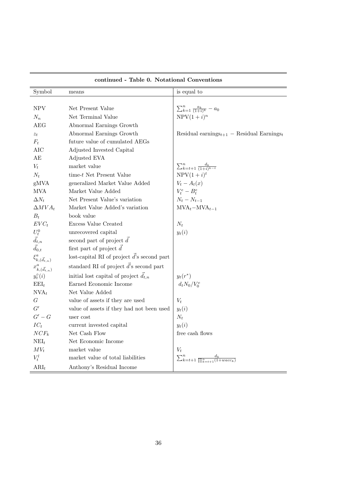| Symbol                      | means                                               | is equal to                                                                    |
|-----------------------------|-----------------------------------------------------|--------------------------------------------------------------------------------|
|                             |                                                     |                                                                                |
| <b>NPV</b>                  | Net Present Value                                   | $\sum_{k=1}^{n} \frac{a_k}{(1+i)^k} - a_0$                                     |
| $N_n$                       | Net Terminal Value                                  | $NPV(1+i)^n$                                                                   |
| AEG                         | Abnormal Earnings Growth                            |                                                                                |
| $z_t$                       | Abnormal Earnings Growth                            | Residual earnings <sub><math>t+1</math></sub> – Residual Earnings <sub>t</sub> |
| $F_t$                       | future value of cumulated AEGs                      |                                                                                |
| <b>AIC</b>                  | Adjusted Invested Capital                           |                                                                                |
| AE                          | Adjusted EVA                                        |                                                                                |
| $V_t$                       | market value                                        | $\sum_{k=t+1}^{n} \frac{d_k}{(1+i)^{k-t}}$                                     |
| $N_t$                       | time- $t$ Net Present Value                         | $NPV(1+i)^t$                                                                   |
| gMVA                        | generalized Market Value Added                      | $V_t - A_t(x)$                                                                 |
| <b>MVA</b>                  | Market Value Added                                  | $V_t^e-B_t^e$                                                                  |
| $\Delta N_t$                | Net Present Value's variation                       | $N_t - N_{t-1}$                                                                |
| $\Delta MVA_t$              | Market Value Added's variation                      | $MVA_t - MVA_{t-1}$                                                            |
| $B_t$                       | book value                                          |                                                                                |
| $EVC_t$                     | Excess Value Created                                | $N_t$                                                                          |
| $U_t^0$                     | unrecovered capital                                 | $y_t(i)$                                                                       |
| $\vec{d}_{t,n}$             | second part of project $\vec{d}$                    |                                                                                |
| $\vec{d}_{0,t}$             | first part of project $\overrightarrow{d}$          |                                                                                |
| $\xi^a_{k,(\vec{d}_{t,n})}$ | lost-capital RI of project $\vec{d}$ 's second part |                                                                                |
| $x_{k,(\vec{d}_{t,n})}^a$   | standard RI of project $\vec{d}$ 's second part     |                                                                                |
| $y_t^{\circ}(i)$            | initial lost capital of project $\vec{d}_{t,n}$     | $y_t(r^*)$                                                                     |
| $\text{EEL}_{t}$            | Earned Economic Income                              | $d_tN_0/V_0^e$                                                                 |
| $NVA_t$                     | Net Value Added                                     |                                                                                |
| G                           | value of assets if they are used                    | $V_t$                                                                          |
| G'                          | value of assets if they had not been used           | $y_t(i)$                                                                       |
| $G'-G$                      | user cost                                           | $N_t$                                                                          |
| $IC_t$                      | current invested capital                            | $y_t(i)$                                                                       |
| $NCF_k$                     | Net Cash Flow                                       | free cash flows                                                                |
| $NEI_t$                     | Net Economic Income                                 |                                                                                |
| $MV_t$                      | market value                                        | $V_t$                                                                          |
| $V_t^l$                     | market value of total liabilities                   | $\sum_{k=t+1}^{n} \frac{d_k}{\prod_{k=t+1}^{n}(1+wacc_k)}$                     |
| $ARI_t$                     | Anthony's Residual Income                           |                                                                                |

continued - Table 0. Notational Conventions